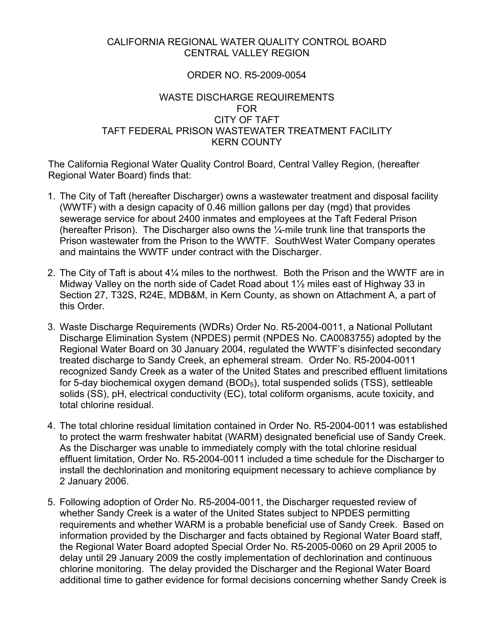### CALIFORNIA REGIONAL WATER QUALITY CONTROL BOARD CENTRAL VALLEY REGION

### ORDER NO. R5-2009-0054

### WASTE DISCHARGE REQUIREMENTS FOR CITY OF TAFT TAFT FEDERAL PRISON WASTEWATER TREATMENT FACILITY KERN COUNTY

The California Regional Water Quality Control Board, Central Valley Region, (hereafter Regional Water Board) finds that:

- 1. The City of Taft (hereafter Discharger) owns a wastewater treatment and disposal facility (WWTF) with a design capacity of 0.46 million gallons per day (mgd) that provides sewerage service for about 2400 inmates and employees at the Taft Federal Prison (hereafter Prison). The Discharger also owns the ¼-mile trunk line that transports the Prison wastewater from the Prison to the WWTF. SouthWest Water Company operates and maintains the WWTF under contract with the Discharger.
- 2. The City of Taft is about 4¼ miles to the northwest. Both the Prison and the WWTF are in Midway Valley on the north side of Cadet Road about 1½ miles east of Highway 33 in Section 27, T32S, R24E, MDB&M, in Kern County, as shown on Attachment A, a part of this Order.
- 3. Waste Discharge Requirements (WDRs) Order No. R5-2004-0011, a National Pollutant Discharge Elimination System (NPDES) permit (NPDES No. CA0083755) adopted by the Regional Water Board on 30 January 2004, regulated the WWTF's disinfected secondary treated discharge to Sandy Creek, an ephemeral stream. Order No. R5-2004-0011 recognized Sandy Creek as a water of the United States and prescribed effluent limitations for 5-day biochemical oxygen demand (BOD<sub>5</sub>), total suspended solids (TSS), settleable solids (SS), pH, electrical conductivity (EC), total coliform organisms, acute toxicity, and total chlorine residual.
- 4. The total chlorine residual limitation contained in Order No. R5-2004-0011 was established to protect the warm freshwater habitat (WARM) designated beneficial use of Sandy Creek. As the Discharger was unable to immediately comply with the total chlorine residual effluent limitation, Order No. R5-2004-0011 included a time schedule for the Discharger to install the dechlorination and monitoring equipment necessary to achieve compliance by 2 January 2006.
- 5. Following adoption of Order No. R5-2004-0011, the Discharger requested review of whether Sandy Creek is a water of the United States subject to NPDES permitting requirements and whether WARM is a probable beneficial use of Sandy Creek. Based on information provided by the Discharger and facts obtained by Regional Water Board staff, the Regional Water Board adopted Special Order No. R5-2005-0060 on 29 April 2005 to delay until 29 January 2009 the costly implementation of dechlorination and continuous chlorine monitoring. The delay provided the Discharger and the Regional Water Board additional time to gather evidence for formal decisions concerning whether Sandy Creek is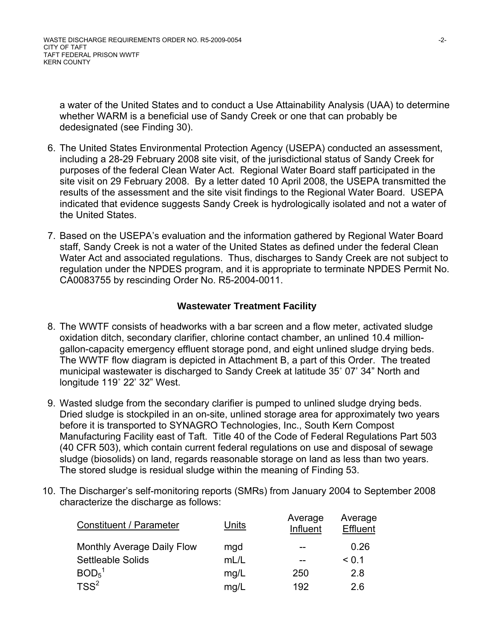a water of the United States and to conduct a Use Attainability Analysis (UAA) to determine whether WARM is a beneficial use of Sandy Creek or one that can probably be dedesignated (see Finding 30).

- 6. The United States Environmental Protection Agency (USEPA) conducted an assessment, including a 28-29 February 2008 site visit, of the jurisdictional status of Sandy Creek for purposes of the federal Clean Water Act. Regional Water Board staff participated in the site visit on 29 February 2008. By a letter dated 10 April 2008, the USEPA transmitted the results of the assessment and the site visit findings to the Regional Water Board. USEPA indicated that evidence suggests Sandy Creek is hydrologically isolated and not a water of the United States.
- 7. Based on the USEPA's evaluation and the information gathered by Regional Water Board staff, Sandy Creek is not a water of the United States as defined under the federal Clean Water Act and associated regulations. Thus, discharges to Sandy Creek are not subject to regulation under the NPDES program, and it is appropriate to terminate NPDES Permit No. CA0083755 by rescinding Order No. R5-2004-0011.

### **Wastewater Treatment Facility**

- 8. The WWTF consists of headworks with a bar screen and a flow meter, activated sludge oxidation ditch, secondary clarifier, chlorine contact chamber, an unlined 10.4 milliongallon-capacity emergency effluent storage pond, and eight unlined sludge drying beds. The WWTF flow diagram is depicted in Attachment B, a part of this Order. The treated municipal wastewater is discharged to Sandy Creek at latitude 35˚ 07' 34" North and longitude 119˚ 22' 32" West.
- 9. Wasted sludge from the secondary clarifier is pumped to unlined sludge drying beds. Dried sludge is stockpiled in an on-site, unlined storage area for approximately two years before it is transported to SYNAGRO Technologies, Inc., South Kern Compost Manufacturing Facility east of Taft. Title 40 of the Code of Federal Regulations Part 503 (40 CFR 503), which contain current federal regulations on use and disposal of sewage sludge (biosolids) on land, regards reasonable storage on land as less than two years. The stored sludge is residual sludge within the meaning of Finding 53.
- 10. The Discharger's self-monitoring reports (SMRs) from January 2004 to September 2008 characterize the discharge as follows:

| <b>Constituent / Parameter</b> | Units | Average<br>Influent | Average<br>Effluent |
|--------------------------------|-------|---------------------|---------------------|
| Monthly Average Daily Flow     | mgd   | --                  | 0.26                |
| <b>Settleable Solids</b>       | mL/L  |                     | < 0.1               |
| BOD <sub>5</sub> <sup>1</sup>  | mg/L  | 250                 | 2.8                 |
| TSS <sup>2</sup>               | mg/L  | 192                 | 2.6                 |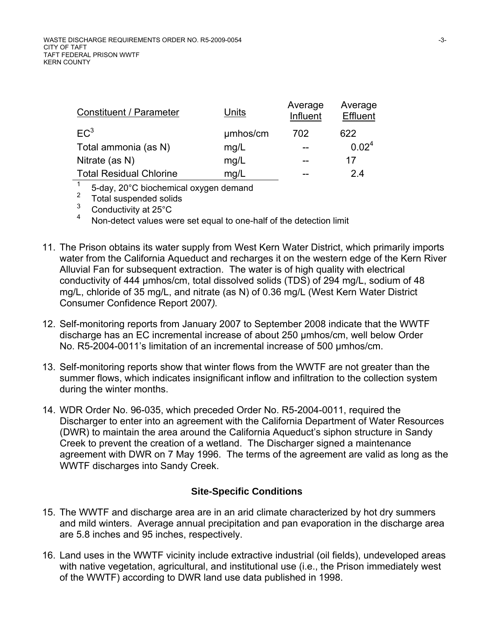| Constituent / Parameter        | Units    | Average<br>Influent | Average<br>Effluent |
|--------------------------------|----------|---------------------|---------------------|
| EC <sup>3</sup>                | umhos/cm | 702                 | 622                 |
| Total ammonia (as N)           | mg/L     | --                  | 0.02 <sup>4</sup>   |
| Nitrate (as N)                 | mg/L     |                     | 17                  |
| <b>Total Residual Chlorine</b> | mg/L     |                     | 24                  |

 $\frac{1}{2}$  5-day, 20°C biochemical oxygen demand

 $\frac{2}{3}$  Total suspended solids

 $\frac{3}{4}$  Conductivity at 25°C

Non-detect values were set equal to one-half of the detection limit

- 11. The Prison obtains its water supply from West Kern Water District, which primarily imports water from the California Aqueduct and recharges it on the western edge of the Kern River Alluvial Fan for subsequent extraction. The water is of high quality with electrical conductivity of 444 µmhos/cm, total dissolved solids (TDS) of 294 mg/L, sodium of 48 mg/L, chloride of 35 mg/L, and nitrate (as N) of 0.36 mg/L (West Kern Water District Consumer Confidence Report 2007*).*
- 12. Self-monitoring reports from January 2007 to September 2008 indicate that the WWTF discharge has an EC incremental increase of about 250 µmhos/cm, well below Order No. R5-2004-0011's limitation of an incremental increase of 500 µmhos/cm.
- 13. Self-monitoring reports show that winter flows from the WWTF are not greater than the summer flows, which indicates insignificant inflow and infiltration to the collection system during the winter months.
- 14. WDR Order No. 96-035, which preceded Order No. R5-2004-0011, required the Discharger to enter into an agreement with the California Department of Water Resources (DWR) to maintain the area around the California Aqueduct's siphon structure in Sandy Creek to prevent the creation of a wetland. The Discharger signed a maintenance agreement with DWR on 7 May 1996. The terms of the agreement are valid as long as the WWTF discharges into Sandy Creek.

## **Site-Specific Conditions**

- 15. The WWTF and discharge area are in an arid climate characterized by hot dry summers and mild winters. Average annual precipitation and pan evaporation in the discharge area are 5.8 inches and 95 inches, respectively.
- 16. Land uses in the WWTF vicinity include extractive industrial (oil fields), undeveloped areas with native vegetation, agricultural, and institutional use (i.e., the Prison immediately west of the WWTF) according to DWR land use data published in 1998.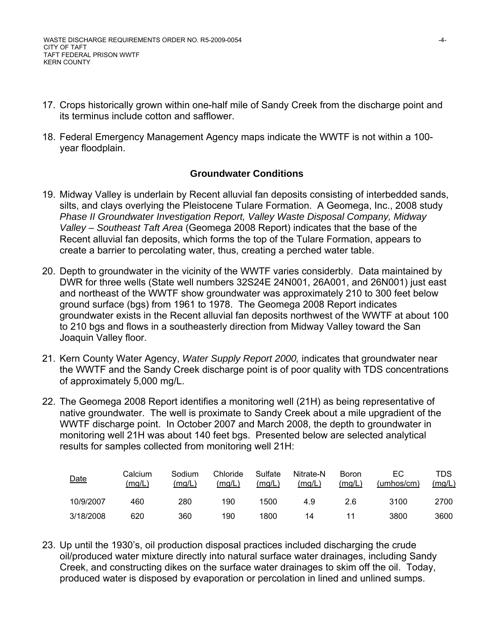- 17. Crops historically grown within one-half mile of Sandy Creek from the discharge point and its terminus include cotton and safflower.
- 18. Federal Emergency Management Agency maps indicate the WWTF is not within a 100 year floodplain.

#### **Groundwater Conditions**

- 19. Midway Valley is underlain by Recent alluvial fan deposits consisting of interbedded sands, silts, and clays overlying the Pleistocene Tulare Formation. A Geomega, Inc., 2008 study *Phase II Groundwater Investigation Report, Valley Waste Disposal Company, Midway Valley – Southeast Taft Area* (Geomega 2008 Report) indicates that the base of the Recent alluvial fan deposits, which forms the top of the Tulare Formation, appears to create a barrier to percolating water, thus, creating a perched water table.
- 20. Depth to groundwater in the vicinity of the WWTF varies considerbly. Data maintained by DWR for three wells (State well numbers 32S24E 24N001, 26A001, and 26N001) just east and northeast of the WWTF show groundwater was approximately 210 to 300 feet below ground surface (bgs) from 1961 to 1978. The Geomega 2008 Report indicates groundwater exists in the Recent alluvial fan deposits northwest of the WWTF at about 100 to 210 bgs and flows in a southeasterly direction from Midway Valley toward the San Joaquin Valley floor.
- 21. Kern County Water Agency, *Water Supply Report 2000,* indicates that groundwater near the WWTF and the Sandy Creek discharge point is of poor quality with TDS concentrations of approximately 5,000 mg/L.
- 22. The Geomega 2008 Report identifies a monitoring well (21H) as being representative of native groundwater. The well is proximate to Sandy Creek about a mile upgradient of the WWTF discharge point. In October 2007 and March 2008, the depth to groundwater in monitoring well 21H was about 140 feet bgs. Presented below are selected analytical results for samples collected from monitoring well 21H:

| Date      | Calcium<br>(mg/L) | Sodium<br>(mglL) | Chloride<br>(mq/L) | Sulfate<br>(mg/L) | Nitrate-N<br>(mg/L) | <b>Boron</b><br>(mg/L) | ЕC<br>(umbos/cm) | TDS<br>(mg/L) |
|-----------|-------------------|------------------|--------------------|-------------------|---------------------|------------------------|------------------|---------------|
| 10/9/2007 | 460               | 280              | 190                | 1500              | 4.9                 | 2.6                    | 3100             | 2700          |
| 3/18/2008 | 620               | 360              | 190                | 1800              | 14                  | 11                     | 3800             | 3600          |

23. Up until the 1930's, oil production disposal practices included discharging the crude oil/produced water mixture directly into natural surface water drainages, including Sandy Creek, and constructing dikes on the surface water drainages to skim off the oil. Today, produced water is disposed by evaporation or percolation in lined and unlined sumps.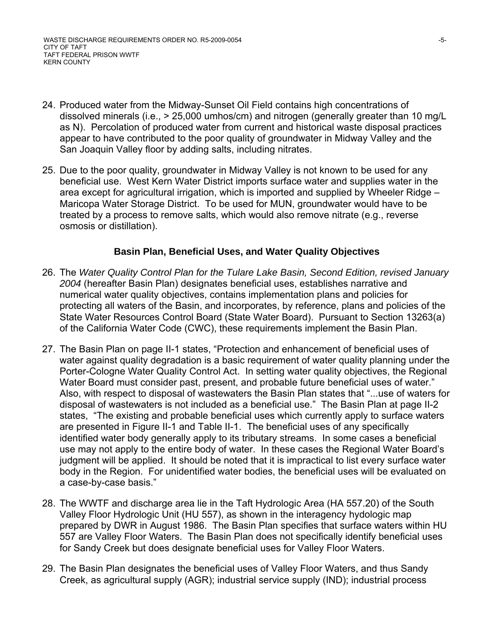- 24. Produced water from the Midway-Sunset Oil Field contains high concentrations of dissolved minerals (i.e., > 25,000 umhos/cm) and nitrogen (generally greater than 10 mg/L as N). Percolation of produced water from current and historical waste disposal practices appear to have contributed to the poor quality of groundwater in Midway Valley and the San Joaquin Valley floor by adding salts, including nitrates.
- 25. Due to the poor quality, groundwater in Midway Valley is not known to be used for any beneficial use. West Kern Water District imports surface water and supplies water in the area except for agricultural irrigation, which is imported and supplied by Wheeler Ridge – Maricopa Water Storage District. To be used for MUN, groundwater would have to be treated by a process to remove salts, which would also remove nitrate (e.g., reverse osmosis or distillation).

#### **Basin Plan, Beneficial Uses, and Water Quality Objectives**

- 26. The *Water Quality Control Plan for the Tulare Lake Basin, Second Edition, revised January 2004* (hereafter Basin Plan) designates beneficial uses, establishes narrative and numerical water quality objectives, contains implementation plans and policies for protecting all waters of the Basin, and incorporates, by reference, plans and policies of the State Water Resources Control Board (State Water Board). Pursuant to Section 13263(a) of the California Water Code (CWC), these requirements implement the Basin Plan.
- 27. The Basin Plan on page II-1 states, "Protection and enhancement of beneficial uses of water against quality degradation is a basic requirement of water quality planning under the Porter-Cologne Water Quality Control Act. In setting water quality objectives, the Regional Water Board must consider past, present, and probable future beneficial uses of water." Also, with respect to disposal of wastewaters the Basin Plan states that "...use of waters for disposal of wastewaters is not included as a beneficial use." The Basin Plan at page II-2 states, "The existing and probable beneficial uses which currently apply to surface waters are presented in Figure II-1 and Table II-1. The beneficial uses of any specifically identified water body generally apply to its tributary streams. In some cases a beneficial use may not apply to the entire body of water. In these cases the Regional Water Board's judgment will be applied. It should be noted that it is impractical to list every surface water body in the Region. For unidentified water bodies, the beneficial uses will be evaluated on a case-by-case basis."
- 28. The WWTF and discharge area lie in the Taft Hydrologic Area (HA 557.20) of the South Valley Floor Hydrologic Unit (HU 557), as shown in the interagency hydologic map prepared by DWR in August 1986. The Basin Plan specifies that surface waters within HU 557 are Valley Floor Waters. The Basin Plan does not specifically identify beneficial uses for Sandy Creek but does designate beneficial uses for Valley Floor Waters.
- 29. The Basin Plan designates the beneficial uses of Valley Floor Waters, and thus Sandy Creek, as agricultural supply (AGR); industrial service supply (IND); industrial process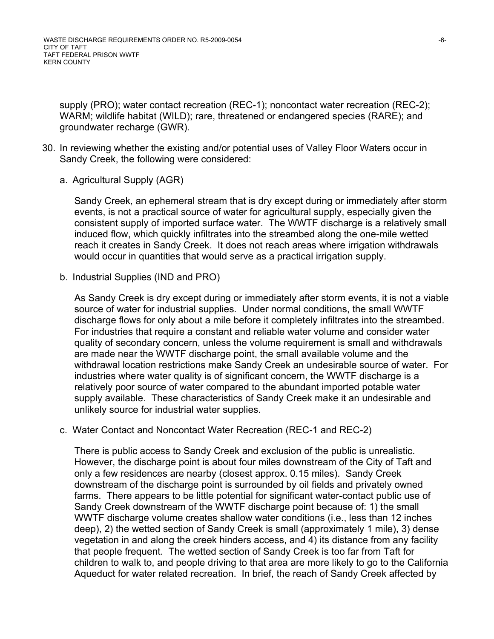supply (PRO); water contact recreation (REC-1); noncontact water recreation (REC-2); WARM; wildlife habitat (WILD); rare, threatened or endangered species (RARE); and groundwater recharge (GWR).

- 30. In reviewing whether the existing and/or potential uses of Valley Floor Waters occur in Sandy Creek, the following were considered:
	- a. Agricultural Supply (AGR)

Sandy Creek, an ephemeral stream that is dry except during or immediately after storm events, is not a practical source of water for agricultural supply, especially given the consistent supply of imported surface water. The WWTF discharge is a relatively small induced flow, which quickly infiltrates into the streambed along the one-mile wetted reach it creates in Sandy Creek. It does not reach areas where irrigation withdrawals would occur in quantities that would serve as a practical irrigation supply.

b. Industrial Supplies (IND and PRO)

As Sandy Creek is dry except during or immediately after storm events, it is not a viable source of water for industrial supplies. Under normal conditions, the small WWTF discharge flows for only about a mile before it completely infiltrates into the streambed. For industries that require a constant and reliable water volume and consider water quality of secondary concern, unless the volume requirement is small and withdrawals are made near the WWTF discharge point, the small available volume and the withdrawal location restrictions make Sandy Creek an undesirable source of water. For industries where water quality is of significant concern, the WWTF discharge is a relatively poor source of water compared to the abundant imported potable water supply available. These characteristics of Sandy Creek make it an undesirable and unlikely source for industrial water supplies.

c. Water Contact and Noncontact Water Recreation (REC-1 and REC-2)

There is public access to Sandy Creek and exclusion of the public is unrealistic. However, the discharge point is about four miles downstream of the City of Taft and only a few residences are nearby (closest approx. 0.15 miles). Sandy Creek downstream of the discharge point is surrounded by oil fields and privately owned farms. There appears to be little potential for significant water-contact public use of Sandy Creek downstream of the WWTF discharge point because of: 1) the small WWTF discharge volume creates shallow water conditions (i.e., less than 12 inches deep), 2) the wetted section of Sandy Creek is small (approximately 1 mile), 3) dense vegetation in and along the creek hinders access, and 4) its distance from any facility that people frequent. The wetted section of Sandy Creek is too far from Taft for children to walk to, and people driving to that area are more likely to go to the California Aqueduct for water related recreation. In brief, the reach of Sandy Creek affected by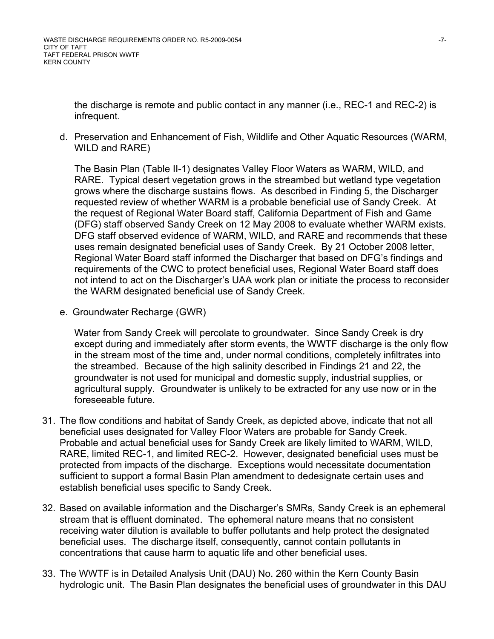the discharge is remote and public contact in any manner (i.e., REC-1 and REC-2) is infrequent.

d. Preservation and Enhancement of Fish, Wildlife and Other Aquatic Resources (WARM, WILD and RARE)

The Basin Plan (Table II-1) designates Valley Floor Waters as WARM, WILD, and RARE. Typical desert vegetation grows in the streambed but wetland type vegetation grows where the discharge sustains flows. As described in Finding 5, the Discharger requested review of whether WARM is a probable beneficial use of Sandy Creek. At the request of Regional Water Board staff, California Department of Fish and Game (DFG) staff observed Sandy Creek on 12 May 2008 to evaluate whether WARM exists. DFG staff observed evidence of WARM, WILD, and RARE and recommends that these uses remain designated beneficial uses of Sandy Creek. By 21 October 2008 letter, Regional Water Board staff informed the Discharger that based on DFG's findings and requirements of the CWC to protect beneficial uses, Regional Water Board staff does not intend to act on the Discharger's UAA work plan or initiate the process to reconsider the WARM designated beneficial use of Sandy Creek.

e. Groundwater Recharge (GWR)

Water from Sandy Creek will percolate to groundwater. Since Sandy Creek is dry except during and immediately after storm events, the WWTF discharge is the only flow in the stream most of the time and, under normal conditions, completely infiltrates into the streambed. Because of the high salinity described in Findings 21 and 22, the groundwater is not used for municipal and domestic supply, industrial supplies, or agricultural supply. Groundwater is unlikely to be extracted for any use now or in the foreseeable future.

- 31. The flow conditions and habitat of Sandy Creek, as depicted above, indicate that not all beneficial uses designated for Valley Floor Waters are probable for Sandy Creek. Probable and actual beneficial uses for Sandy Creek are likely limited to WARM, WILD, RARE, limited REC-1, and limited REC-2. However, designated beneficial uses must be protected from impacts of the discharge. Exceptions would necessitate documentation sufficient to support a formal Basin Plan amendment to dedesignate certain uses and establish beneficial uses specific to Sandy Creek.
- 32. Based on available information and the Discharger's SMRs, Sandy Creek is an ephemeral stream that is effluent dominated. The ephemeral nature means that no consistent receiving water dilution is available to buffer pollutants and help protect the designated beneficial uses. The discharge itself, consequently, cannot contain pollutants in concentrations that cause harm to aquatic life and other beneficial uses.
- 33. The WWTF is in Detailed Analysis Unit (DAU) No. 260 within the Kern County Basin hydrologic unit. The Basin Plan designates the beneficial uses of groundwater in this DAU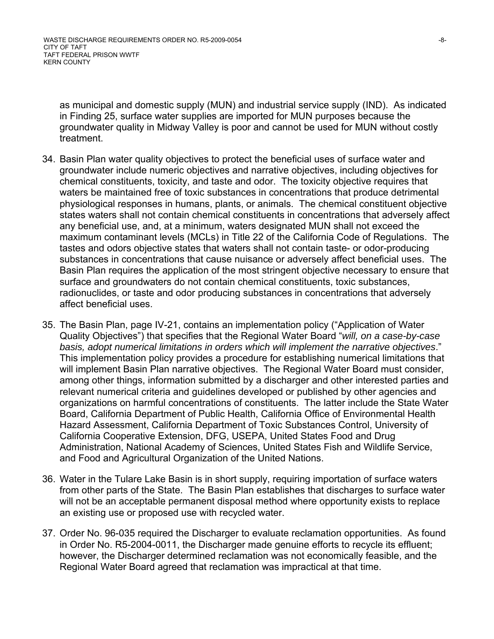as municipal and domestic supply (MUN) and industrial service supply (IND). As indicated in Finding 25, surface water supplies are imported for MUN purposes because the groundwater quality in Midway Valley is poor and cannot be used for MUN without costly treatment.

- 34. Basin Plan water quality objectives to protect the beneficial uses of surface water and groundwater include numeric objectives and narrative objectives, including objectives for chemical constituents, toxicity, and taste and odor. The toxicity objective requires that waters be maintained free of toxic substances in concentrations that produce detrimental physiological responses in humans, plants, or animals. The chemical constituent objective states waters shall not contain chemical constituents in concentrations that adversely affect any beneficial use, and, at a minimum, waters designated MUN shall not exceed the maximum contaminant levels (MCLs) in Title 22 of the California Code of Regulations. The tastes and odors objective states that waters shall not contain taste- or odor-producing substances in concentrations that cause nuisance or adversely affect beneficial uses. The Basin Plan requires the application of the most stringent objective necessary to ensure that surface and groundwaters do not contain chemical constituents, toxic substances, radionuclides, or taste and odor producing substances in concentrations that adversely affect beneficial uses.
- 35. The Basin Plan, page IV-21, contains an implementation policy ("Application of Water Quality Objectives") that specifies that the Regional Water Board "*will, on a case-by-case basis, adopt numerical limitations in orders which will implement the narrative objectives*." This implementation policy provides a procedure for establishing numerical limitations that will implement Basin Plan narrative objectives. The Regional Water Board must consider, among other things, information submitted by a discharger and other interested parties and relevant numerical criteria and guidelines developed or published by other agencies and organizations on harmful concentrations of constituents. The latter include the State Water Board, California Department of Public Health, California Office of Environmental Health Hazard Assessment, California Department of Toxic Substances Control, University of California Cooperative Extension, DFG, USEPA, United States Food and Drug Administration, National Academy of Sciences, United States Fish and Wildlife Service, and Food and Agricultural Organization of the United Nations.
- 36. Water in the Tulare Lake Basin is in short supply, requiring importation of surface waters from other parts of the State. The Basin Plan establishes that discharges to surface water will not be an acceptable permanent disposal method where opportunity exists to replace an existing use or proposed use with recycled water.
- 37. Order No. 96-035 required the Discharger to evaluate reclamation opportunities. As found in Order No. R5-2004-0011, the Discharger made genuine efforts to recycle its effluent; however, the Discharger determined reclamation was not economically feasible, and the Regional Water Board agreed that reclamation was impractical at that time.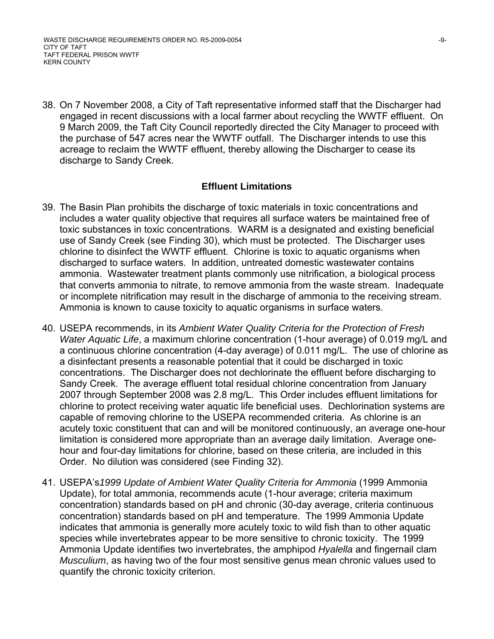WASTE DISCHARGE REQUIREMENTS ORDER NO. R5-2009-0054 -9- CITY OF TAFT TAFT FEDERAL PRISON WWTF KERN COUNTY

38. On 7 November 2008, a City of Taft representative informed staff that the Discharger had engaged in recent discussions with a local farmer about recycling the WWTF effluent. On 9 March 2009, the Taft City Council reportedly directed the City Manager to proceed with the purchase of 547 acres near the WWTF outfall. The Discharger intends to use this acreage to reclaim the WWTF effluent, thereby allowing the Discharger to cease its discharge to Sandy Creek.

#### **Effluent Limitations**

- 39. The Basin Plan prohibits the discharge of toxic materials in toxic concentrations and includes a water quality objective that requires all surface waters be maintained free of toxic substances in toxic concentrations. WARM is a designated and existing beneficial use of Sandy Creek (see Finding 30), which must be protected. The Discharger uses chlorine to disinfect the WWTF effluent. Chlorine is toxic to aquatic organisms when discharged to surface waters. In addition, untreated domestic wastewater contains ammonia. Wastewater treatment plants commonly use nitrification, a biological process that converts ammonia to nitrate, to remove ammonia from the waste stream. Inadequate or incomplete nitrification may result in the discharge of ammonia to the receiving stream. Ammonia is known to cause toxicity to aquatic organisms in surface waters.
- 40. USEPA recommends, in its *Ambient Water Quality Criteria for the Protection of Fresh Water Aquatic Life*, a maximum chlorine concentration (1-hour average) of 0.019 mg/L and a continuous chlorine concentration (4-day average) of 0.011 mg/L. The use of chlorine as a disinfectant presents a reasonable potential that it could be discharged in toxic concentrations. The Discharger does not dechlorinate the effluent before discharging to Sandy Creek. The average effluent total residual chlorine concentration from January 2007 through September 2008 was 2.8 mg/L. This Order includes effluent limitations for chlorine to protect receiving water aquatic life beneficial uses. Dechlorination systems are capable of removing chlorine to the USEPA recommended criteria. As chlorine is an acutely toxic constituent that can and will be monitored continuously, an average one-hour limitation is considered more appropriate than an average daily limitation. Average onehour and four-day limitations for chlorine, based on these criteria, are included in this Order. No dilution was considered (see Finding 32).
- 41. USEPA's*1999 Update of Ambient Water Quality Criteria for Ammonia* (1999 Ammonia Update), for total ammonia, recommends acute (1-hour average; criteria maximum concentration) standards based on pH and chronic (30-day average, criteria continuous concentration) standards based on pH and temperature. The 1999 Ammonia Update indicates that ammonia is generally more acutely toxic to wild fish than to other aquatic species while invertebrates appear to be more sensitive to chronic toxicity. The 1999 Ammonia Update identifies two invertebrates, the amphipod *Hyalella* and fingernail clam *Musculium*, as having two of the four most sensitive genus mean chronic values used to quantify the chronic toxicity criterion.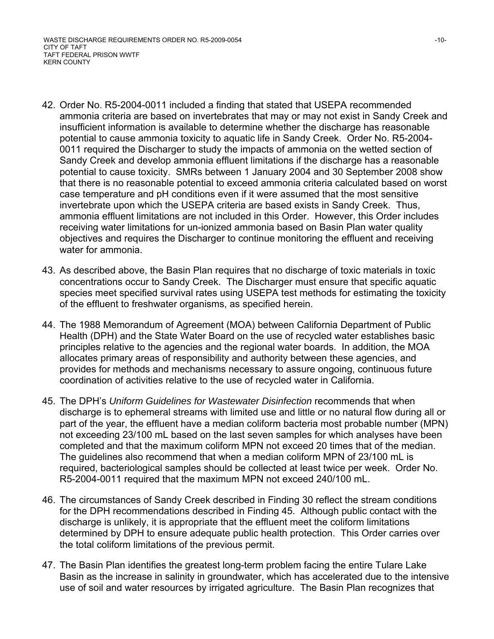- 42. Order No. R5-2004-0011 included a finding that stated that USEPA recommended ammonia criteria are based on invertebrates that may or may not exist in Sandy Creek and insufficient information is available to determine whether the discharge has reasonable potential to cause ammonia toxicity to aquatic life in Sandy Creek. Order No. R5-2004- 0011 required the Discharger to study the impacts of ammonia on the wetted section of Sandy Creek and develop ammonia effluent limitations if the discharge has a reasonable potential to cause toxicity. SMRs between 1 January 2004 and 30 September 2008 show that there is no reasonable potential to exceed ammonia criteria calculated based on worst case temperature and pH conditions even if it were assumed that the most sensitive invertebrate upon which the USEPA criteria are based exists in Sandy Creek. Thus, ammonia effluent limitations are not included in this Order. However, this Order includes receiving water limitations for un-ionized ammonia based on Basin Plan water quality objectives and requires the Discharger to continue monitoring the effluent and receiving water for ammonia.
- 43. As described above, the Basin Plan requires that no discharge of toxic materials in toxic concentrations occur to Sandy Creek. The Discharger must ensure that specific aquatic species meet specified survival rates using USEPA test methods for estimating the toxicity of the effluent to freshwater organisms, as specified herein.
- 44. The 1988 Memorandum of Agreement (MOA) between California Department of Public Health (DPH) and the State Water Board on the use of recycled water establishes basic principles relative to the agencies and the regional water boards. In addition, the MOA allocates primary areas of responsibility and authority between these agencies, and provides for methods and mechanisms necessary to assure ongoing, continuous future coordination of activities relative to the use of recycled water in California.
- 45. The DPH's *Uniform Guidelines for Wastewater Disinfection* recommends that when discharge is to ephemeral streams with limited use and little or no natural flow during all or part of the year, the effluent have a median coliform bacteria most probable number (MPN) not exceeding 23/100 mL based on the last seven samples for which analyses have been completed and that the maximum coliform MPN not exceed 20 times that of the median. The guidelines also recommend that when a median coliform MPN of 23/100 mL is required, bacteriological samples should be collected at least twice per week. Order No. R5-2004-0011 required that the maximum MPN not exceed 240/100 mL.
- 46. The circumstances of Sandy Creek described in Finding 30 reflect the stream conditions for the DPH recommendations described in Finding 45. Although public contact with the discharge is unlikely, it is appropriate that the effluent meet the coliform limitations determined by DPH to ensure adequate public health protection. This Order carries over the total coliform limitations of the previous permit.
- 47. The Basin Plan identifies the greatest long-term problem facing the entire Tulare Lake Basin as the increase in salinity in groundwater, which has accelerated due to the intensive use of soil and water resources by irrigated agriculture. The Basin Plan recognizes that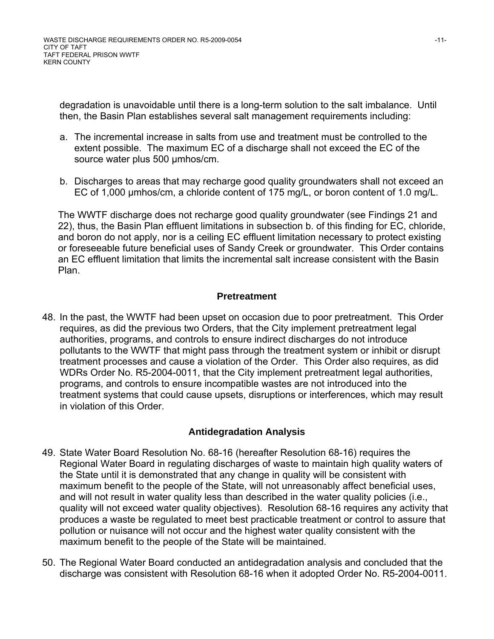degradation is unavoidable until there is a long-term solution to the salt imbalance. Until then, the Basin Plan establishes several salt management requirements including:

- a. The incremental increase in salts from use and treatment must be controlled to the extent possible. The maximum EC of a discharge shall not exceed the EC of the source water plus 500 μmhos/cm.
- b. Discharges to areas that may recharge good quality groundwaters shall not exceed an EC of 1,000 μmhos/cm, a chloride content of 175 mg/L, or boron content of 1.0 mg/L.

The WWTF discharge does not recharge good quality groundwater (see Findings 21 and 22), thus, the Basin Plan effluent limitations in subsection b. of this finding for EC, chloride, and boron do not apply, nor is a ceiling EC effluent limitation necessary to protect existing or foreseeable future beneficial uses of Sandy Creek or groundwater. This Order contains an EC effluent limitation that limits the incremental salt increase consistent with the Basin Plan.

### **Pretreatment**

48. In the past, the WWTF had been upset on occasion due to poor pretreatment. This Order requires, as did the previous two Orders, that the City implement pretreatment legal authorities, programs, and controls to ensure indirect discharges do not introduce pollutants to the WWTF that might pass through the treatment system or inhibit or disrupt treatment processes and cause a violation of the Order. This Order also requires, as did WDRs Order No. R5-2004-0011, that the City implement pretreatment legal authorities, programs, and controls to ensure incompatible wastes are not introduced into the treatment systems that could cause upsets, disruptions or interferences, which may result in violation of this Order.

### **Antidegradation Analysis**

- 49. State Water Board Resolution No. 68-16 (hereafter Resolution 68-16) requires the Regional Water Board in regulating discharges of waste to maintain high quality waters of the State until it is demonstrated that any change in quality will be consistent with maximum benefit to the people of the State, will not unreasonably affect beneficial uses, and will not result in water quality less than described in the water quality policies (i.e., quality will not exceed water quality objectives). Resolution 68-16 requires any activity that produces a waste be regulated to meet best practicable treatment or control to assure that pollution or nuisance will not occur and the highest water quality consistent with the maximum benefit to the people of the State will be maintained.
- 50. The Regional Water Board conducted an antidegradation analysis and concluded that the discharge was consistent with Resolution 68-16 when it adopted Order No. R5-2004-0011.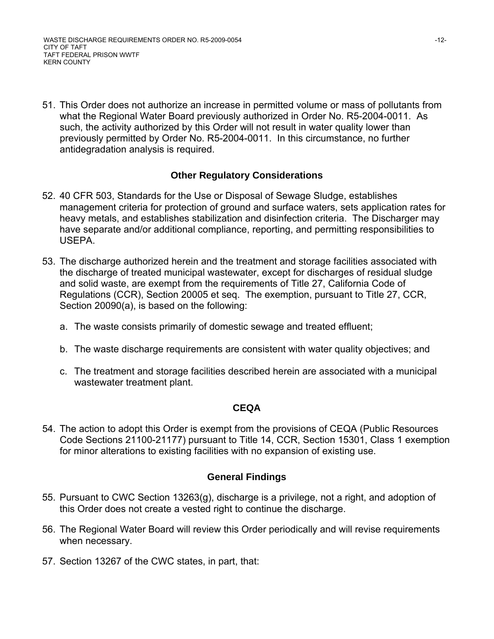WASTE DISCHARGE REQUIREMENTS ORDER NO. R5-2009-0054 -12-CITY OF TAFT TAFT FEDERAL PRISON WWTF KERN COUNTY

51. This Order does not authorize an increase in permitted volume or mass of pollutants from what the Regional Water Board previously authorized in Order No. R5-2004-0011. As such, the activity authorized by this Order will not result in water quality lower than previously permitted by Order No. R5-2004-0011. In this circumstance, no further antidegradation analysis is required.

### **Other Regulatory Considerations**

- 52. 40 CFR 503, Standards for the Use or Disposal of Sewage Sludge, establishes management criteria for protection of ground and surface waters, sets application rates for heavy metals, and establishes stabilization and disinfection criteria. The Discharger may have separate and/or additional compliance, reporting, and permitting responsibilities to USEPA.
- 53. The discharge authorized herein and the treatment and storage facilities associated with the discharge of treated municipal wastewater, except for discharges of residual sludge and solid waste, are exempt from the requirements of Title 27, California Code of Regulations (CCR), Section 20005 et seq. The exemption, pursuant to Title 27, CCR, Section 20090(a), is based on the following:
	- a. The waste consists primarily of domestic sewage and treated effluent;
	- b. The waste discharge requirements are consistent with water quality objectives; and
	- c. The treatment and storage facilities described herein are associated with a municipal wastewater treatment plant.

#### **CEQA**

54. The action to adopt this Order is exempt from the provisions of CEQA (Public Resources Code Sections 21100-21177) pursuant to Title 14, CCR, Section 15301, Class 1 exemption for minor alterations to existing facilities with no expansion of existing use.

### **General Findings**

- 55. Pursuant to CWC Section 13263(g), discharge is a privilege, not a right, and adoption of this Order does not create a vested right to continue the discharge.
- 56. The Regional Water Board will review this Order periodically and will revise requirements when necessary.
- 57. Section 13267 of the CWC states, in part, that: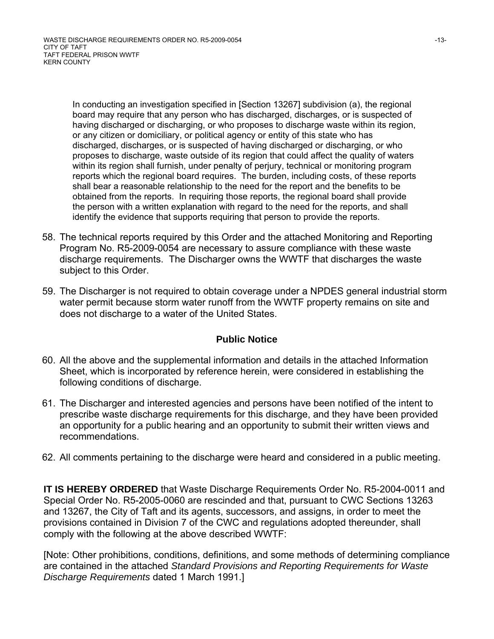In conducting an investigation specified in [Section 13267] subdivision (a), the regional board may require that any person who has discharged, discharges, or is suspected of having discharged or discharging, or who proposes to discharge waste within its region, or any citizen or domiciliary, or political agency or entity of this state who has discharged, discharges, or is suspected of having discharged or discharging, or who proposes to discharge, waste outside of its region that could affect the quality of waters within its region shall furnish, under penalty of perjury, technical or monitoring program reports which the regional board requires. The burden, including costs, of these reports shall bear a reasonable relationship to the need for the report and the benefits to be obtained from the reports. In requiring those reports, the regional board shall provide the person with a written explanation with regard to the need for the reports, and shall identify the evidence that supports requiring that person to provide the reports.

- 58. The technical reports required by this Order and the attached Monitoring and Reporting Program No. R5-2009-0054 are necessary to assure compliance with these waste discharge requirements. The Discharger owns the WWTF that discharges the waste subject to this Order.
- 59. The Discharger is not required to obtain coverage under a NPDES general industrial storm water permit because storm water runoff from the WWTF property remains on site and does not discharge to a water of the United States.

#### **Public Notice**

- 60. All the above and the supplemental information and details in the attached Information Sheet, which is incorporated by reference herein, were considered in establishing the following conditions of discharge.
- 61. The Discharger and interested agencies and persons have been notified of the intent to prescribe waste discharge requirements for this discharge, and they have been provided an opportunity for a public hearing and an opportunity to submit their written views and recommendations.
- 62. All comments pertaining to the discharge were heard and considered in a public meeting.

**IT IS HEREBY ORDERED** that Waste Discharge Requirements Order No. R5-2004-0011 and Special Order No. R5-2005-0060 are rescinded and that, pursuant to CWC Sections 13263 and 13267, the City of Taft and its agents, successors, and assigns, in order to meet the provisions contained in Division 7 of the CWC and regulations adopted thereunder, shall comply with the following at the above described WWTF:

[Note: Other prohibitions, conditions, definitions, and some methods of determining compliance are contained in the attached *Standard Provisions and Reporting Requirements for Waste Discharge Requirements* dated 1 March 1991.]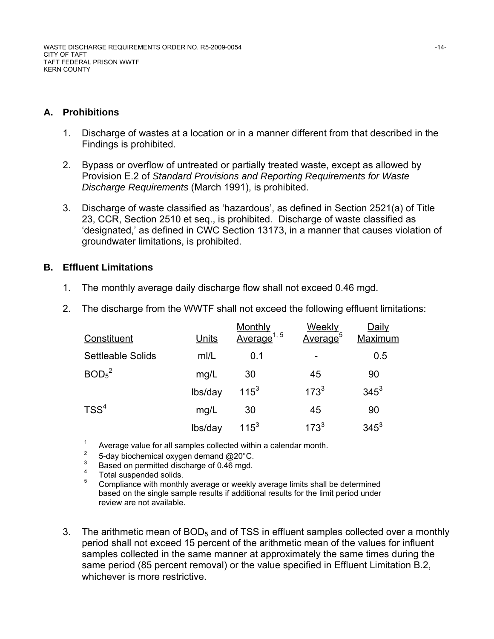### **A. Prohibitions**

- 1. Discharge of wastes at a location or in a manner different from that described in the Findings is prohibited.
- 2. Bypass or overflow of untreated or partially treated waste, except as allowed by Provision E.2 of *Standard Provisions and Reporting Requirements for Waste Discharge Requirements* (March 1991), is prohibited.
- 3. Discharge of waste classified as 'hazardous', as defined in Section 2521(a) of Title 23, CCR, Section 2510 et seq., is prohibited. Discharge of waste classified as 'designated,' as defined in CWC Section 13173, in a manner that causes violation of groundwater limitations, is prohibited.

### **B. Effluent Limitations**

1. The monthly average daily discharge flow shall not exceed 0.46 mgd.

| The discharge from the WWTF shall not exceed the following effluent limitations: |
|----------------------------------------------------------------------------------|
|----------------------------------------------------------------------------------|

| Constituent                   | Units   | Monthly<br>Average <sup>1, 5</sup> | Weekly<br>Average <sup>5</sup> | Daily<br>Maximum |
|-------------------------------|---------|------------------------------------|--------------------------------|------------------|
| Settleable Solids             | mI/L    | 0.1                                |                                | 0.5              |
| BOD <sub>5</sub> <sup>2</sup> | mg/L    | 30                                 | 45                             | 90               |
|                               | lbs/day | $115^3$                            | $173^{3}$                      | $345^3$          |
| TSS <sup>4</sup>              | mg/L    | 30                                 | 45                             | 90               |
|                               | lbs/day | $115^3$                            | $173^{3}$                      | $345^3$          |

1 Average value for all samples collected within a calendar month.

2 5-day biochemical oxygen demand @20°C.

3 Based on permitted discharge of 0.46 mgd.

4 Total suspended solids.

5 Compliance with monthly average or weekly average limits shall be determined based on the single sample results if additional results for the limit period under review are not available.

3. The arithmetic mean of  $BOD<sub>5</sub>$  and of TSS in effluent samples collected over a monthly period shall not exceed 15 percent of the arithmetic mean of the values for influent samples collected in the same manner at approximately the same times during the same period (85 percent removal) or the value specified in Effluent Limitation B.2, whichever is more restrictive.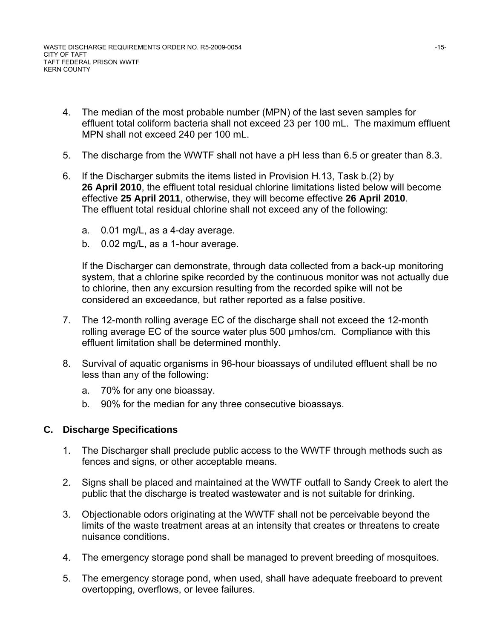- 4. The median of the most probable number (MPN) of the last seven samples for effluent total coliform bacteria shall not exceed 23 per 100 mL. The maximum effluent MPN shall not exceed 240 per 100 mL.
- 5. The discharge from the WWTF shall not have a pH less than 6.5 or greater than 8.3.
- 6. If the Discharger submits the items listed in Provision H.13, Task b.(2) by **26 April 2010**, the effluent total residual chlorine limitations listed below will become effective **25 April 2011**, otherwise, they will become effective **26 April 2010**. The effluent total residual chlorine shall not exceed any of the following:
	- a. 0.01 mg/L, as a 4-day average.
	- b. 0.02 mg/L, as a 1-hour average.

If the Discharger can demonstrate, through data collected from a back-up monitoring system, that a chlorine spike recorded by the continuous monitor was not actually due to chlorine, then any excursion resulting from the recorded spike will not be considered an exceedance, but rather reported as a false positive.

- 7. The 12-month rolling average EC of the discharge shall not exceed the 12-month rolling average EC of the source water plus 500 µmhos/cm. Compliance with this effluent limitation shall be determined monthly.
- 8. Survival of aquatic organisms in 96-hour bioassays of undiluted effluent shall be no less than any of the following:
	- a. 70% for any one bioassay.
	- b. 90% for the median for any three consecutive bioassays.

### **C. Discharge Specifications**

- 1. The Discharger shall preclude public access to the WWTF through methods such as fences and signs, or other acceptable means.
- 2. Signs shall be placed and maintained at the WWTF outfall to Sandy Creek to alert the public that the discharge is treated wastewater and is not suitable for drinking.
- 3. Objectionable odors originating at the WWTF shall not be perceivable beyond the limits of the waste treatment areas at an intensity that creates or threatens to create nuisance conditions.
- 4. The emergency storage pond shall be managed to prevent breeding of mosquitoes.
- 5. The emergency storage pond, when used, shall have adequate freeboard to prevent overtopping, overflows, or levee failures.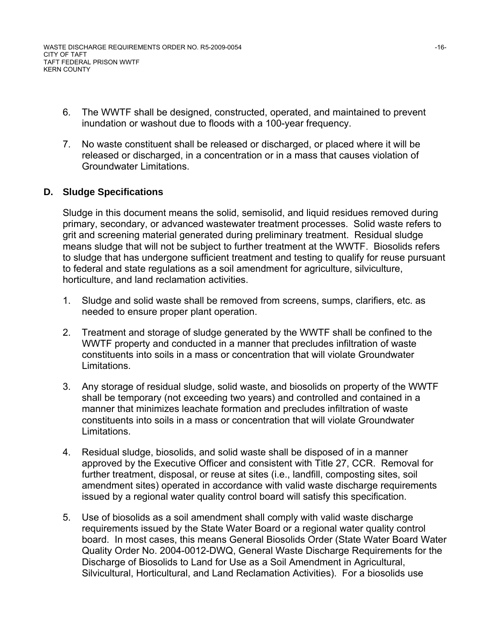WASTE DISCHARGE REQUIREMENTS ORDER NO. R5-2009-0054 -16-CITY OF TAFT TAFT FEDERAL PRISON WWTF KERN COUNTY

- 6. The WWTF shall be designed, constructed, operated, and maintained to prevent inundation or washout due to floods with a 100-year frequency.
- 7. No waste constituent shall be released or discharged, or placed where it will be released or discharged, in a concentration or in a mass that causes violation of Groundwater Limitations.

### **D. Sludge Specifications**

Sludge in this document means the solid, semisolid, and liquid residues removed during primary, secondary, or advanced wastewater treatment processes. Solid waste refers to grit and screening material generated during preliminary treatment. Residual sludge means sludge that will not be subject to further treatment at the WWTF. Biosolids refers to sludge that has undergone sufficient treatment and testing to qualify for reuse pursuant to federal and state regulations as a soil amendment for agriculture, silviculture, horticulture, and land reclamation activities.

- 1. Sludge and solid waste shall be removed from screens, sumps, clarifiers, etc. as needed to ensure proper plant operation.
- 2. Treatment and storage of sludge generated by the WWTF shall be confined to the WWTF property and conducted in a manner that precludes infiltration of waste constituents into soils in a mass or concentration that will violate Groundwater Limitations.
- 3. Any storage of residual sludge, solid waste, and biosolids on property of the WWTF shall be temporary (not exceeding two years) and controlled and contained in a manner that minimizes leachate formation and precludes infiltration of waste constituents into soils in a mass or concentration that will violate Groundwater Limitations.
- 4. Residual sludge, biosolids, and solid waste shall be disposed of in a manner approved by the Executive Officer and consistent with Title 27, CCR. Removal for further treatment, disposal, or reuse at sites (i.e., landfill, composting sites, soil amendment sites) operated in accordance with valid waste discharge requirements issued by a regional water quality control board will satisfy this specification.
- 5. Use of biosolids as a soil amendment shall comply with valid waste discharge requirements issued by the State Water Board or a regional water quality control board. In most cases, this means General Biosolids Order (State Water Board Water Quality Order No. 2004-0012-DWQ, General Waste Discharge Requirements for the Discharge of Biosolids to Land for Use as a Soil Amendment in Agricultural, Silvicultural, Horticultural, and Land Reclamation Activities). For a biosolids use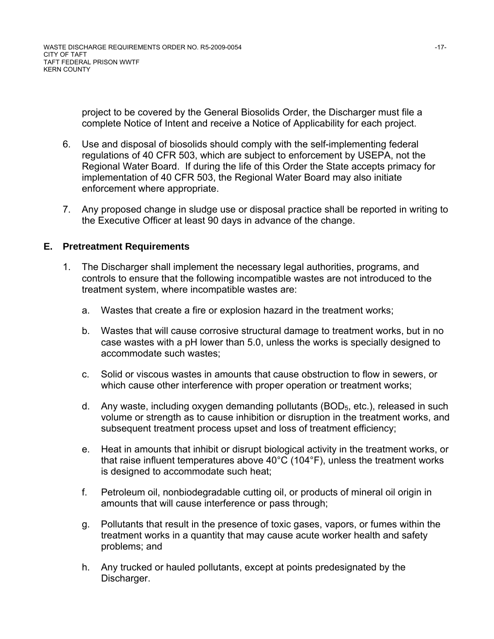project to be covered by the General Biosolids Order, the Discharger must file a complete Notice of Intent and receive a Notice of Applicability for each project.

- 6. Use and disposal of biosolids should comply with the self-implementing federal regulations of 40 CFR 503, which are subject to enforcement by USEPA, not the Regional Water Board. If during the life of this Order the State accepts primacy for implementation of 40 CFR 503, the Regional Water Board may also initiate enforcement where appropriate.
- 7. Any proposed change in sludge use or disposal practice shall be reported in writing to the Executive Officer at least 90 days in advance of the change.

#### **E. Pretreatment Requirements**

- 1. The Discharger shall implement the necessary legal authorities, programs, and controls to ensure that the following incompatible wastes are not introduced to the treatment system, where incompatible wastes are:
	- a. Wastes that create a fire or explosion hazard in the treatment works;
	- b. Wastes that will cause corrosive structural damage to treatment works, but in no case wastes with a pH lower than 5.0, unless the works is specially designed to accommodate such wastes;
	- c. Solid or viscous wastes in amounts that cause obstruction to flow in sewers, or which cause other interference with proper operation or treatment works;
	- d. Any waste, including oxygen demanding pollutants (BOD<sub>5</sub>, etc.), released in such volume or strength as to cause inhibition or disruption in the treatment works, and subsequent treatment process upset and loss of treatment efficiency;
	- e. Heat in amounts that inhibit or disrupt biological activity in the treatment works, or that raise influent temperatures above 40°C (104°F), unless the treatment works is designed to accommodate such heat;
	- f. Petroleum oil, nonbiodegradable cutting oil, or products of mineral oil origin in amounts that will cause interference or pass through;
	- g. Pollutants that result in the presence of toxic gases, vapors, or fumes within the treatment works in a quantity that may cause acute worker health and safety problems; and
	- h. Any trucked or hauled pollutants, except at points predesignated by the Discharger.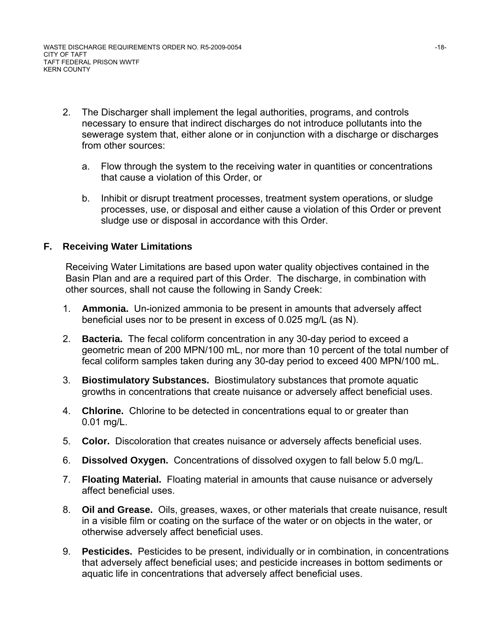- 2. The Discharger shall implement the legal authorities, programs, and controls necessary to ensure that indirect discharges do not introduce pollutants into the sewerage system that, either alone or in conjunction with a discharge or discharges from other sources:
	- a. Flow through the system to the receiving water in quantities or concentrations that cause a violation of this Order, or
	- b. Inhibit or disrupt treatment processes, treatment system operations, or sludge processes, use, or disposal and either cause a violation of this Order or prevent sludge use or disposal in accordance with this Order.

### **F. Receiving Water Limitations**

Receiving Water Limitations are based upon water quality objectives contained in the Basin Plan and are a required part of this Order. The discharge, in combination with other sources, shall not cause the following in Sandy Creek:

- 1. **Ammonia.** Un-ionized ammonia to be present in amounts that adversely affect beneficial uses nor to be present in excess of 0.025 mg/L (as N).
- 2. **Bacteria.** The fecal coliform concentration in any 30-day period to exceed a geometric mean of 200 MPN/100 mL, nor more than 10 percent of the total number of fecal coliform samples taken during any 30-day period to exceed 400 MPN/100 mL.
- 3. **Biostimulatory Substances.** Biostimulatory substances that promote aquatic growths in concentrations that create nuisance or adversely affect beneficial uses.
- 4. **Chlorine.** Chlorine to be detected in concentrations equal to or greater than 0.01 mg/L.
- 5. **Color.** Discoloration that creates nuisance or adversely affects beneficial uses.
- 6. **Dissolved Oxygen.** Concentrations of dissolved oxygen to fall below 5.0 mg/L.
- 7. **Floating Material.** Floating material in amounts that cause nuisance or adversely affect beneficial uses.
- 8. **Oil and Grease.** Oils, greases, waxes, or other materials that create nuisance, result in a visible film or coating on the surface of the water or on objects in the water, or otherwise adversely affect beneficial uses.
- 9. **Pesticides.** Pesticides to be present, individually or in combination, in concentrations that adversely affect beneficial uses; and pesticide increases in bottom sediments or aquatic life in concentrations that adversely affect beneficial uses.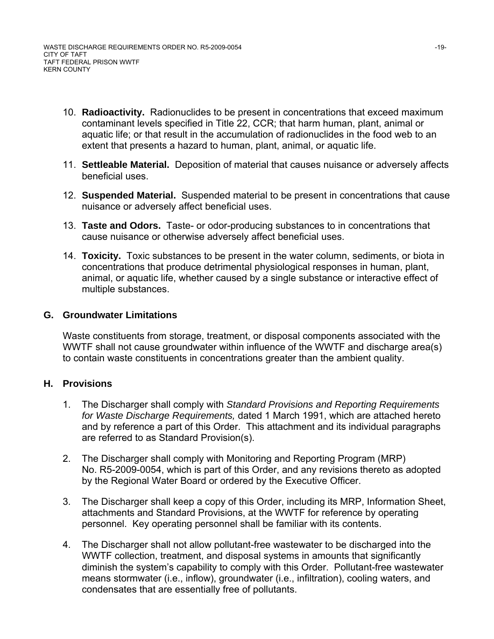- 10. **Radioactivity.** Radionuclides to be present in concentrations that exceed maximum contaminant levels specified in Title 22, CCR; that harm human, plant, animal or aquatic life; or that result in the accumulation of radionuclides in the food web to an extent that presents a hazard to human, plant, animal, or aquatic life.
- 11. **Settleable Material.** Deposition of material that causes nuisance or adversely affects beneficial uses.
- 12. **Suspended Material.** Suspended material to be present in concentrations that cause nuisance or adversely affect beneficial uses.
- 13. **Taste and Odors.** Taste- or odor-producing substances to in concentrations that cause nuisance or otherwise adversely affect beneficial uses.
- 14. **Toxicity.** Toxic substances to be present in the water column, sediments, or biota in concentrations that produce detrimental physiological responses in human, plant, animal, or aquatic life, whether caused by a single substance or interactive effect of multiple substances.

### **G. Groundwater Limitations**

Waste constituents from storage, treatment, or disposal components associated with the WWTF shall not cause groundwater within influence of the WWTF and discharge area(s) to contain waste constituents in concentrations greater than the ambient quality.

#### **H. Provisions**

- 1. The Discharger shall comply with *Standard Provisions and Reporting Requirements for Waste Discharge Requirements,* dated 1 March 1991, which are attached hereto and by reference a part of this Order. This attachment and its individual paragraphs are referred to as Standard Provision(s).
- 2. The Discharger shall comply with Monitoring and Reporting Program (MRP) No. R5-2009-0054, which is part of this Order, and any revisions thereto as adopted by the Regional Water Board or ordered by the Executive Officer.
- 3. The Discharger shall keep a copy of this Order, including its MRP, Information Sheet, attachments and Standard Provisions, at the WWTF for reference by operating personnel. Key operating personnel shall be familiar with its contents.
- 4. The Discharger shall not allow pollutant-free wastewater to be discharged into the WWTF collection, treatment, and disposal systems in amounts that significantly diminish the system's capability to comply with this Order. Pollutant-free wastewater means stormwater (i.e., inflow), groundwater (i.e., infiltration), cooling waters, and condensates that are essentially free of pollutants.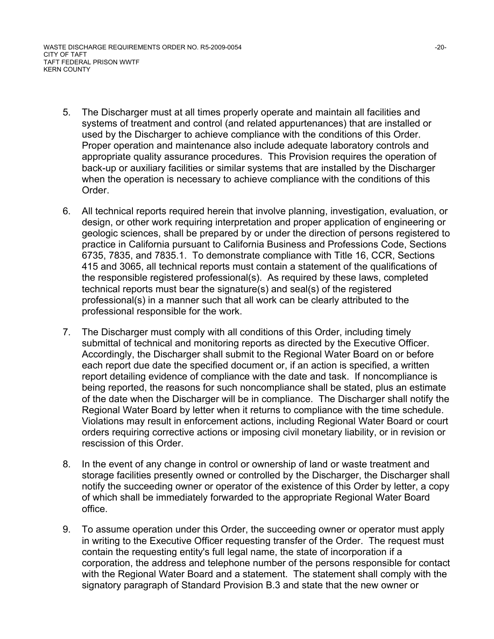WASTE DISCHARGE REQUIREMENTS ORDER NO. R5-2009-0054 -20- CITY OF TAFT TAFT FEDERAL PRISON WWTF KERN COUNTY

- 5. The Discharger must at all times properly operate and maintain all facilities and systems of treatment and control (and related appurtenances) that are installed or used by the Discharger to achieve compliance with the conditions of this Order. Proper operation and maintenance also include adequate laboratory controls and appropriate quality assurance procedures. This Provision requires the operation of back-up or auxiliary facilities or similar systems that are installed by the Discharger when the operation is necessary to achieve compliance with the conditions of this Order.
- 6. All technical reports required herein that involve planning, investigation, evaluation, or design, or other work requiring interpretation and proper application of engineering or geologic sciences, shall be prepared by or under the direction of persons registered to practice in California pursuant to California Business and Professions Code, Sections 6735, 7835, and 7835.1. To demonstrate compliance with Title 16, CCR, Sections 415 and 3065, all technical reports must contain a statement of the qualifications of the responsible registered professional(s). As required by these laws, completed technical reports must bear the signature(s) and seal(s) of the registered professional(s) in a manner such that all work can be clearly attributed to the professional responsible for the work.
- 7. The Discharger must comply with all conditions of this Order, including timely submittal of technical and monitoring reports as directed by the Executive Officer. Accordingly, the Discharger shall submit to the Regional Water Board on or before each report due date the specified document or, if an action is specified, a written report detailing evidence of compliance with the date and task. If noncompliance is being reported, the reasons for such noncompliance shall be stated, plus an estimate of the date when the Discharger will be in compliance. The Discharger shall notify the Regional Water Board by letter when it returns to compliance with the time schedule. Violations may result in enforcement actions, including Regional Water Board or court orders requiring corrective actions or imposing civil monetary liability, or in revision or rescission of this Order.
- 8. In the event of any change in control or ownership of land or waste treatment and storage facilities presently owned or controlled by the Discharger, the Discharger shall notify the succeeding owner or operator of the existence of this Order by letter, a copy of which shall be immediately forwarded to the appropriate Regional Water Board office.
- 9. To assume operation under this Order, the succeeding owner or operator must apply in writing to the Executive Officer requesting transfer of the Order. The request must contain the requesting entity's full legal name, the state of incorporation if a corporation, the address and telephone number of the persons responsible for contact with the Regional Water Board and a statement. The statement shall comply with the signatory paragraph of Standard Provision B.3 and state that the new owner or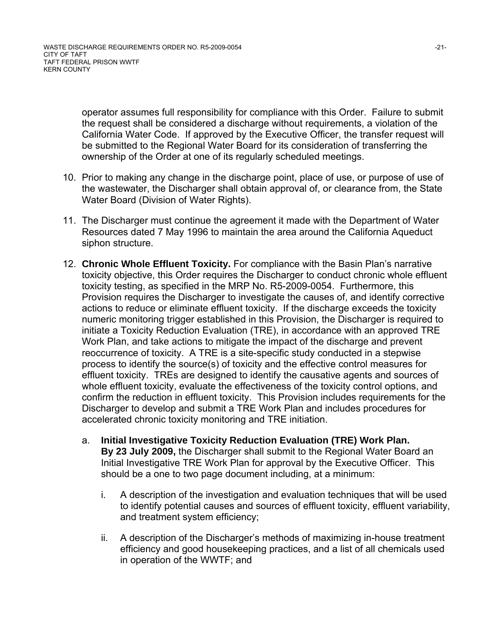operator assumes full responsibility for compliance with this Order. Failure to submit the request shall be considered a discharge without requirements, a violation of the California Water Code. If approved by the Executive Officer, the transfer request will be submitted to the Regional Water Board for its consideration of transferring the ownership of the Order at one of its regularly scheduled meetings.

- 10. Prior to making any change in the discharge point, place of use, or purpose of use of the wastewater, the Discharger shall obtain approval of, or clearance from, the State Water Board (Division of Water Rights).
- 11. The Discharger must continue the agreement it made with the Department of Water Resources dated 7 May 1996 to maintain the area around the California Aqueduct siphon structure.
- 12. **Chronic Whole Effluent Toxicity.** For compliance with the Basin Plan's narrative toxicity objective, this Order requires the Discharger to conduct chronic whole effluent toxicity testing, as specified in the MRP No. R5-2009-0054. Furthermore, this Provision requires the Discharger to investigate the causes of, and identify corrective actions to reduce or eliminate effluent toxicity. If the discharge exceeds the toxicity numeric monitoring trigger established in this Provision, the Discharger is required to initiate a Toxicity Reduction Evaluation (TRE), in accordance with an approved TRE Work Plan, and take actions to mitigate the impact of the discharge and prevent reoccurrence of toxicity. A TRE is a site-specific study conducted in a stepwise process to identify the source(s) of toxicity and the effective control measures for effluent toxicity. TREs are designed to identify the causative agents and sources of whole effluent toxicity, evaluate the effectiveness of the toxicity control options, and confirm the reduction in effluent toxicity. This Provision includes requirements for the Discharger to develop and submit a TRE Work Plan and includes procedures for accelerated chronic toxicity monitoring and TRE initiation.
	- a. **Initial Investigative Toxicity Reduction Evaluation (TRE) Work Plan. By 23 July 2009,** the Discharger shall submit to the Regional Water Board an Initial Investigative TRE Work Plan for approval by the Executive Officer. This should be a one to two page document including, at a minimum:
		- i. A description of the investigation and evaluation techniques that will be used to identify potential causes and sources of effluent toxicity, effluent variability, and treatment system efficiency;
		- ii. A description of the Discharger's methods of maximizing in-house treatment efficiency and good housekeeping practices, and a list of all chemicals used in operation of the WWTF; and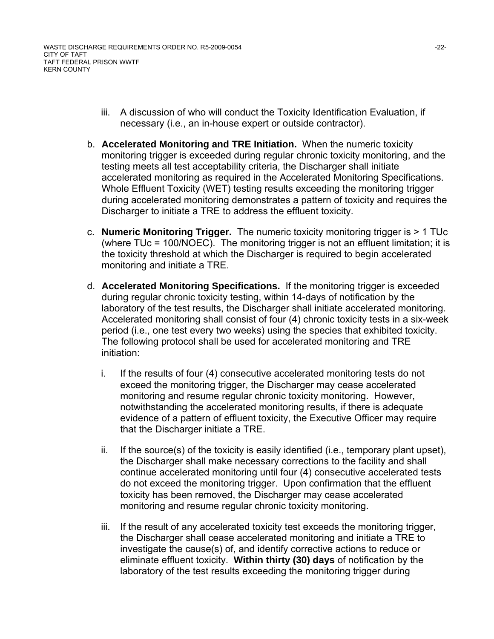WASTE DISCHARGE REQUIREMENTS ORDER NO. R5-2009-0054 -22- CITY OF TAFT TAFT FEDERAL PRISON WWTF KERN COUNTY

- iii. A discussion of who will conduct the Toxicity Identification Evaluation, if necessary (i.e., an in-house expert or outside contractor).
- b. **Accelerated Monitoring and TRE Initiation.** When the numeric toxicity monitoring trigger is exceeded during regular chronic toxicity monitoring, and the testing meets all test acceptability criteria, the Discharger shall initiate accelerated monitoring as required in the Accelerated Monitoring Specifications. Whole Effluent Toxicity (WET) testing results exceeding the monitoring trigger during accelerated monitoring demonstrates a pattern of toxicity and requires the Discharger to initiate a TRE to address the effluent toxicity.
- c. **Numeric Monitoring Trigger.** The numeric toxicity monitoring trigger is > 1 TUc (where TUc = 100/NOEC). The monitoring trigger is not an effluent limitation; it is the toxicity threshold at which the Discharger is required to begin accelerated monitoring and initiate a TRE.
- d. **Accelerated Monitoring Specifications.** If the monitoring trigger is exceeded during regular chronic toxicity testing, within 14-days of notification by the laboratory of the test results, the Discharger shall initiate accelerated monitoring. Accelerated monitoring shall consist of four (4) chronic toxicity tests in a six-week period (i.e., one test every two weeks) using the species that exhibited toxicity. The following protocol shall be used for accelerated monitoring and TRE initiation:
	- i. If the results of four (4) consecutive accelerated monitoring tests do not exceed the monitoring trigger, the Discharger may cease accelerated monitoring and resume regular chronic toxicity monitoring. However, notwithstanding the accelerated monitoring results, if there is adequate evidence of a pattern of effluent toxicity, the Executive Officer may require that the Discharger initiate a TRE.
	- ii. If the source(s) of the toxicity is easily identified (i.e., temporary plant upset), the Discharger shall make necessary corrections to the facility and shall continue accelerated monitoring until four (4) consecutive accelerated tests do not exceed the monitoring trigger. Upon confirmation that the effluent toxicity has been removed, the Discharger may cease accelerated monitoring and resume regular chronic toxicity monitoring.
	- iii. If the result of any accelerated toxicity test exceeds the monitoring trigger, the Discharger shall cease accelerated monitoring and initiate a TRE to investigate the cause(s) of, and identify corrective actions to reduce or eliminate effluent toxicity. **Within thirty (30) days** of notification by the laboratory of the test results exceeding the monitoring trigger during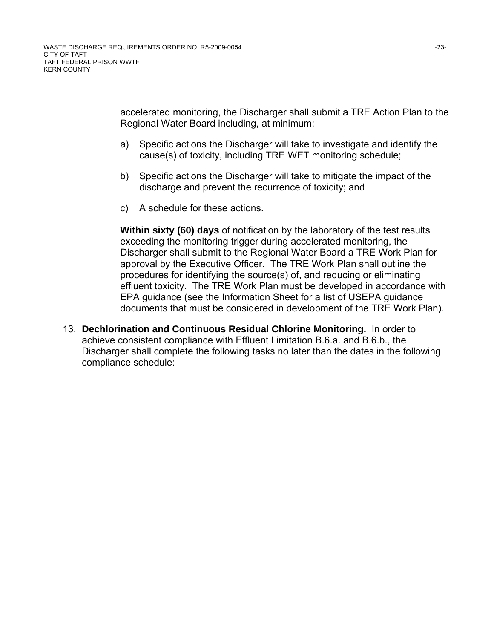accelerated monitoring, the Discharger shall submit a TRE Action Plan to the Regional Water Board including, at minimum:

- a) Specific actions the Discharger will take to investigate and identify the cause(s) of toxicity, including TRE WET monitoring schedule;
- b) Specific actions the Discharger will take to mitigate the impact of the discharge and prevent the recurrence of toxicity; and
- c) A schedule for these actions.

**Within sixty (60) days** of notification by the laboratory of the test results exceeding the monitoring trigger during accelerated monitoring, the Discharger shall submit to the Regional Water Board a TRE Work Plan for approval by the Executive Officer. The TRE Work Plan shall outline the procedures for identifying the source(s) of, and reducing or eliminating effluent toxicity. The TRE Work Plan must be developed in accordance with EPA guidance (see the Information Sheet for a list of USEPA guidance documents that must be considered in development of the TRE Work Plan).

13. **Dechlorination and Continuous Residual Chlorine Monitoring.** In order to achieve consistent compliance with Effluent Limitation B.6.a. and B.6.b., the Discharger shall complete the following tasks no later than the dates in the following compliance schedule: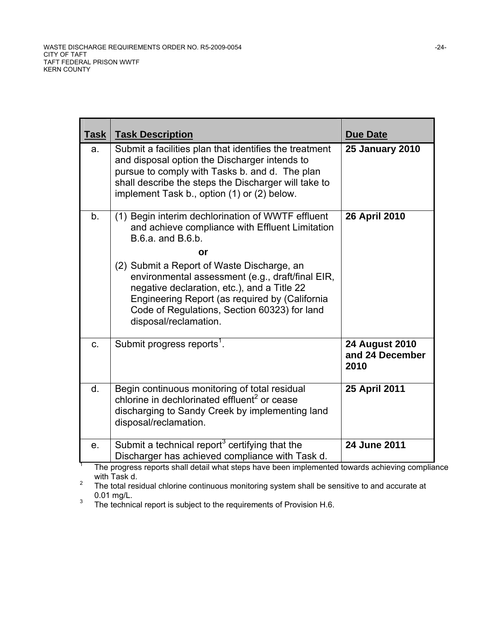| <b>Task</b> | <b>Task Description</b>                                                                                                                                                                                                                                                  | <b>Due Date</b>                                  |
|-------------|--------------------------------------------------------------------------------------------------------------------------------------------------------------------------------------------------------------------------------------------------------------------------|--------------------------------------------------|
| a.          | Submit a facilities plan that identifies the treatment<br>and disposal option the Discharger intends to<br>pursue to comply with Tasks b. and d. The plan<br>shall describe the steps the Discharger will take to<br>implement Task b., option (1) or (2) below.         | <b>25 January 2010</b>                           |
| b.          | (1) Begin interim dechlorination of WWTF effluent<br>and achieve compliance with Effluent Limitation<br>B.6.a. and B.6.b.                                                                                                                                                | 26 April 2010                                    |
|             | or                                                                                                                                                                                                                                                                       |                                                  |
|             | (2) Submit a Report of Waste Discharge, an<br>environmental assessment (e.g., draft/final EIR,<br>negative declaration, etc.), and a Title 22<br>Engineering Report (as required by (California<br>Code of Regulations, Section 60323) for land<br>disposal/reclamation. |                                                  |
| C.          | Submit progress reports <sup>1</sup> .                                                                                                                                                                                                                                   | <b>24 August 2010</b><br>and 24 December<br>2010 |
| d.          | Begin continuous monitoring of total residual<br>chlorine in dechlorinated effluent <sup>2</sup> or cease<br>discharging to Sandy Creek by implementing land<br>disposal/reclamation.                                                                                    | 25 April 2011                                    |
| e.          | Submit a technical report <sup>3</sup> certifying that the<br>Discharger has achieved compliance with Task d.<br>The progress reports shall detail what steps have been implemented towards achieving compliar                                                           | 24 June 2011                                     |

 The progress reports shall detail what steps have been implemented towards achieving compliance with Task d.

<sup>2</sup> The total residual chlorine continuous monitoring system shall be sensitive to and accurate at  $0.01 \text{ mg/L.}$ <sup>3</sup> The technic

The technical report is subject to the requirements of Provision H.6.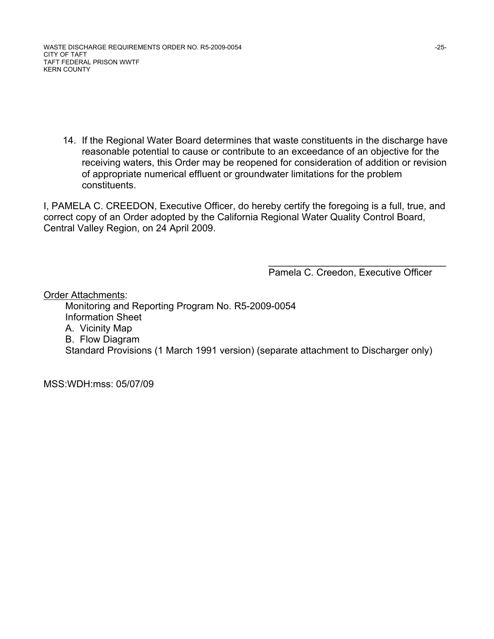WASTE DISCHARGE REQUIREMENTS ORDER NO. R5-2009-0054 -25-CITY OF TAFT TAFT FEDERAL PRISON WWTF KERN COUNTY

14. If the Regional Water Board determines that waste constituents in the discharge have reasonable potential to cause or contribute to an exceedance of an objective for the receiving waters, this Order may be reopened for consideration of addition or revision of appropriate numerical effluent or groundwater limitations for the problem constituents.

I, PAMELA C. CREEDON, Executive Officer, do hereby certify the foregoing is a full, true, and correct copy of an Order adopted by the California Regional Water Quality Control Board, Central Valley Region, on 24 April 2009.

 $\frac{1}{\sqrt{2}}$  , and the contract of the contract of the contract of the contract of the contract of the contract of the contract of the contract of the contract of the contract of the contract of the contract of the contra

Pamela C. Creedon, Executive Officer

Order Attachments: Monitoring and Reporting Program No. R5-2009-0054 Information Sheet A. Vicinity Map B. Flow Diagram Standard Provisions (1 March 1991 version) (separate attachment to Discharger only)

MSS:WDH:mss: 05/07/09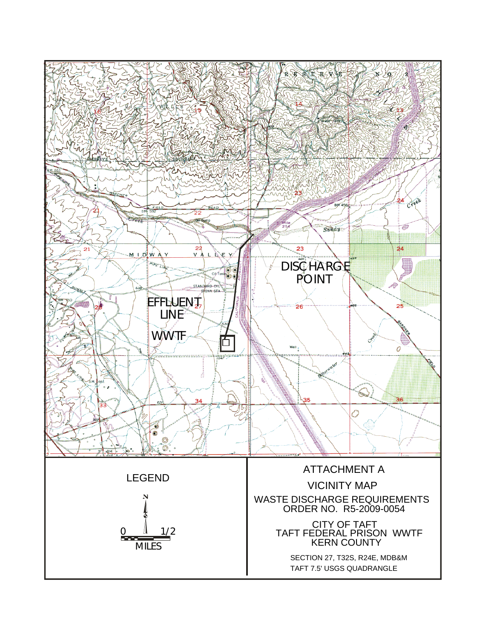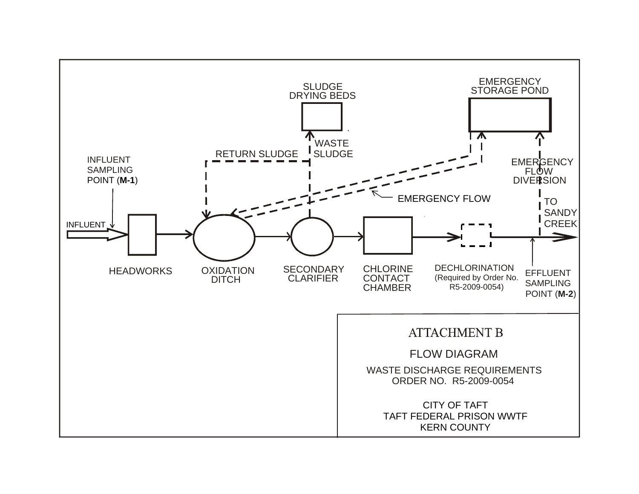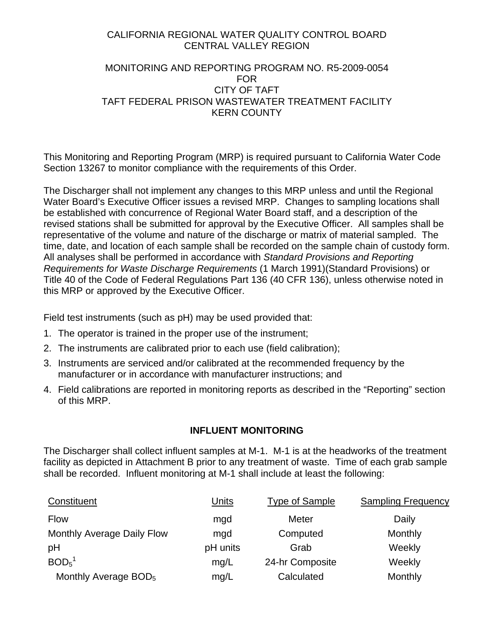### CALIFORNIA REGIONAL WATER QUALITY CONTROL BOARD CENTRAL VALLEY REGION

### MONITORING AND REPORTING PROGRAM NO. R5-2009-0054 FOR CITY OF TAFT TAFT FEDERAL PRISON WASTEWATER TREATMENT FACILITY KERN COUNTY

This Monitoring and Reporting Program (MRP) is required pursuant to California Water Code Section 13267 to monitor compliance with the requirements of this Order.

The Discharger shall not implement any changes to this MRP unless and until the Regional Water Board's Executive Officer issues a revised MRP. Changes to sampling locations shall be established with concurrence of Regional Water Board staff, and a description of the revised stations shall be submitted for approval by the Executive Officer. All samples shall be representative of the volume and nature of the discharge or matrix of material sampled. The time, date, and location of each sample shall be recorded on the sample chain of custody form. All analyses shall be performed in accordance with *Standard Provisions and Reporting Requirements for Waste Discharge Requirements* (1 March 1991)(Standard Provisions) or Title 40 of the Code of Federal Regulations Part 136 (40 CFR 136), unless otherwise noted in this MRP or approved by the Executive Officer.

Field test instruments (such as pH) may be used provided that:

- 1. The operator is trained in the proper use of the instrument;
- 2. The instruments are calibrated prior to each use (field calibration);
- 3. Instruments are serviced and/or calibrated at the recommended frequency by the manufacturer or in accordance with manufacturer instructions; and
- 4. Field calibrations are reported in monitoring reports as described in the "Reporting" section of this MRP.

## **INFLUENT MONITORING**

The Discharger shall collect influent samples at M-1. M-1 is at the headworks of the treatment facility as depicted in Attachment B prior to any treatment of waste. Time of each grab sample shall be recorded. Influent monitoring at M-1 shall include at least the following:

| Constituent                      | Units    | <b>Type of Sample</b> | <b>Sampling Frequency</b> |
|----------------------------------|----------|-----------------------|---------------------------|
| <b>Flow</b>                      | mgd      | <b>Meter</b>          | Daily                     |
| Monthly Average Daily Flow       | mgd      | Computed              | Monthly                   |
| pH                               | pH units | Grab                  | Weekly                    |
| BOD <sub>5</sub> <sup>1</sup>    | mg/L     | 24-hr Composite       | Weekly                    |
| Monthly Average BOD <sub>5</sub> | mg/L     | Calculated            | Monthly                   |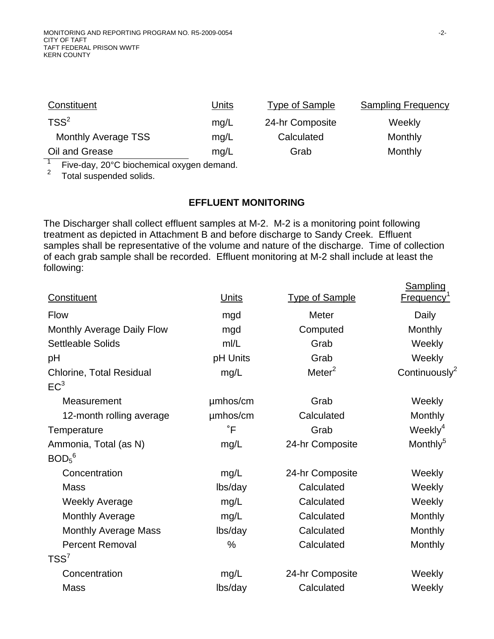| Constituent                                               | Units | Type of Sample  | <b>Sampling Frequency</b> |
|-----------------------------------------------------------|-------|-----------------|---------------------------|
| $TSS^2$                                                   | mq/L  | 24-hr Composite | Weekly                    |
| Monthly Average TSS                                       | mq/L  | Calculated      | <b>Monthly</b>            |
| Oil and Grease                                            | mg/L  | Grab            | Monthly                   |
| $\Gamma$ is a designed binded existed expressed dependent |       |                 |                           |

Five-day, 20°C biochemical oxygen demand.

<sup>2</sup> Total suspended solids.

#### **EFFLUENT MONITORING**

The Discharger shall collect effluent samples at M-2. M-2 is a monitoring point following treatment as depicted in Attachment B and before discharge to Sandy Creek. Effluent samples shall be representative of the volume and nature of the discharge. Time of collection of each grab sample shall be recorded. Effluent monitoring at M-2 shall include at least the following:

|                                 |              |                       | Sampling                      |
|---------------------------------|--------------|-----------------------|-------------------------------|
| Constituent                     | <u>Units</u> | <b>Type of Sample</b> | <b>Frequency</b> <sup>1</sup> |
| <b>Flow</b>                     | mgd          | <b>Meter</b>          | Daily                         |
| Monthly Average Daily Flow      | mgd          | Computed              | Monthly                       |
| <b>Settleable Solids</b>        | m/L          | Grab                  | Weekly                        |
| pH                              | pH Units     | Grab                  | Weekly                        |
| <b>Chlorine, Total Residual</b> | mg/L         | Meter <sup>2</sup>    | Continuously <sup>2</sup>     |
| EC <sup>3</sup>                 |              |                       |                               |
| Measurement                     | umhos/cm     | Grab                  | Weekly                        |
| 12-month rolling average        | umhos/cm     | Calculated            | <b>Monthly</b>                |
| Temperature                     | $\degree$ F  | Grab                  | Weekly <sup>4</sup>           |
| Ammonia, Total (as N)           | mg/L         | 24-hr Composite       | Monthly <sup>5</sup>          |
| $BOD5$ <sup>6</sup>             |              |                       |                               |
| Concentration                   | mg/L         | 24-hr Composite       | Weekly                        |
| Mass                            | lbs/day      | Calculated            | Weekly                        |
| <b>Weekly Average</b>           | mg/L         | Calculated            | Weekly                        |
| Monthly Average                 | mg/L         | Calculated            | Monthly                       |
| <b>Monthly Average Mass</b>     | lbs/day      | Calculated            | Monthly                       |
| <b>Percent Removal</b>          | $\%$         | Calculated            | Monthly                       |
| $TSS^7$                         |              |                       |                               |
| Concentration                   | mg/L         | 24-hr Composite       | Weekly                        |
| <b>Mass</b>                     | lbs/day      | Calculated            | Weekly                        |
|                                 |              |                       |                               |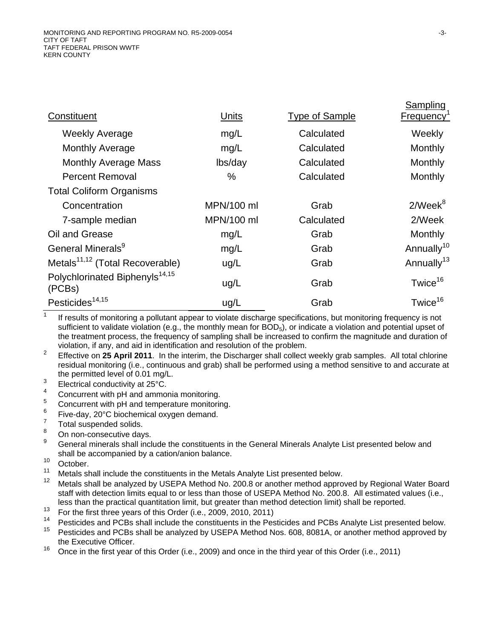| Constituent                                          | <u>Units</u> | <b>Type of Sample</b> | <b>Sampling</b><br>Frequency <sup>1</sup> |
|------------------------------------------------------|--------------|-----------------------|-------------------------------------------|
| <b>Weekly Average</b>                                | mg/L         | Calculated            | Weekly                                    |
| <b>Monthly Average</b>                               | mg/L         | Calculated            | Monthly                                   |
| <b>Monthly Average Mass</b>                          | lbs/day      | Calculated            | Monthly                                   |
| <b>Percent Removal</b>                               | $\%$         | Calculated            | Monthly                                   |
| <b>Total Coliform Organisms</b>                      |              |                       |                                           |
| Concentration                                        | MPN/100 ml   | Grab                  | $2$ /Week $8$                             |
| 7-sample median                                      | MPN/100 ml   | Calculated            | 2/Week                                    |
| Oil and Grease                                       | mg/L         | Grab                  | Monthly                                   |
| General Minerals <sup>9</sup>                        | mg/L         | Grab                  | Annually <sup>10</sup>                    |
| Metals <sup>11,12</sup> (Total Recoverable)          | ug/L         | Grab                  | Annually <sup>13</sup>                    |
| Polychlorinated Biphenyls <sup>14,15</sup><br>(PCBs) | ug/L         | Grab                  | Twice <sup>16</sup>                       |
| Pesticides <sup>14,15</sup>                          | ug/L         | Grab                  | Twice <sup>16</sup>                       |

<sup>1</sup> If results of monitoring a pollutant appear to violate discharge specifications, but monitoring frequency is not sufficient to validate violation (e.g., the monthly mean for BOD<sub>5</sub>), or indicate a violation and potential upset of the treatment process, the frequency of sampling shall be increased to confirm the magnitude and duration of violation, if any, and aid in identification and resolution of the problem.

<sup>2</sup> Effective on 25 April 2011. In the interim, the Discharger shall collect weekly grab samples. All total chlorine residual monitoring (i.e., continuous and grab) shall be performed using a method sensitive to and accurate at the permitted level of 0.01 mg/L.

- $\frac{3}{4}$  Electrical conductivity at 25 $\frac{3}{4}$  Consumer with all and arms.
- $\frac{4}{5}$  Concurrent with pH and ammonia monitoring.
- $\frac{5}{5}$  Concurrent with pH and temperature monitoring.
- $^{6}$  Five-day, 20°C biochemical oxygen demand.
- $\int_{8}^{7}$  Total suspended solids.
- $\frac{8}{9}$  On non-consecutive days.
- General minerals shall include the constituents in the General Minerals Analyte List presented below and shall be accompanied by a cation/anion balance.
- $10$  October.
- <sup>11</sup> Metals shall include the constituents in the Metals Analyte List presented below.<br><sup>12</sup> Metals shall be analyzed by USERA Method Na. 200.8 ar anather method appro
- Metals shall be analyzed by USEPA Method No. 200.8 or another method approved by Regional Water Board staff with detection limits equal to or less than those of USEPA Method No. 200.8. All estimated values (i.e., less than the practical quantitation limit, but greater than method detection limit) shall be reported.
- <sup>13</sup> For the first three years of this Order (i.e., 2009, 2010, 2011)<sup>14</sup> Bosticides and BCBs shall include the constituents in the Bes
- <sup>14</sup> Pesticides and PCBs shall include the constituents in the Pesticides and PCBs Analyte List presented below.<br><sup>15</sup> Pesticides and PCBs shall be analyzed by USEDA Method Nes. 608, 8084A, as anather mathed analyzed by
- Pesticides and PCBs shall be analyzed by USEPA Method Nos. 608, 8081A, or another method approved by the Executive Officer.
- <sup>16</sup> Once in the first year of this Order (i.e., 2009) and once in the third year of this Order (i.e., 2011)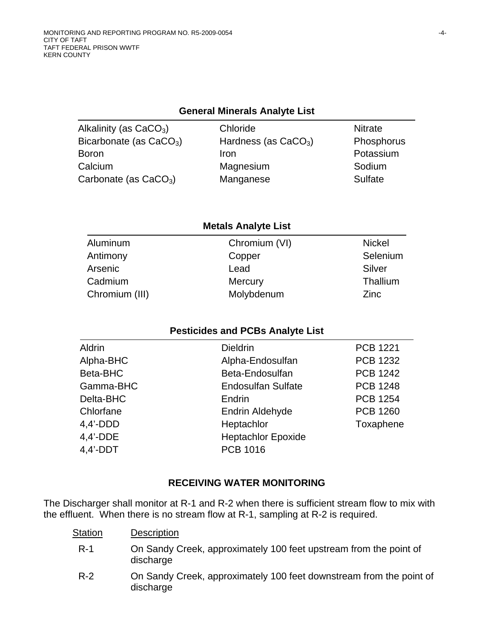### **General Minerals Analyte List**

| Alkalinity (as $CaCO3$ )  | Chloride               | <b>Nitrate</b> |
|---------------------------|------------------------|----------------|
| Bicarbonate (as $CaCO3$ ) | Hardness (as $CaCO3$ ) | Phosphorus     |
| <b>Boron</b>              | Iron                   | Potassium      |
| Calcium                   | Magnesium              | Sodium         |
| Carbonate (as $CaCO3$ )   | Manganese              | Sulfate        |

### **Metals Analyte List**

| Aluminum       | Chromium (VI) | <b>Nickel</b> |
|----------------|---------------|---------------|
| Antimony       | Copper        | Selenium      |
| Arsenic        | Lead          | Silver        |
| Cadmium        | Mercury       | Thallium      |
| Chromium (III) | Molybdenum    | <b>Zinc</b>   |

### **Pesticides and PCBs Analyte List**

| <b>Dieldrin</b>           | <b>PCB 1221</b> |
|---------------------------|-----------------|
| Alpha-Endosulfan          | <b>PCB 1232</b> |
| Beta-Endosulfan           | <b>PCB 1242</b> |
| <b>Endosulfan Sulfate</b> | <b>PCB 1248</b> |
| Endrin                    | <b>PCB 1254</b> |
| Endrin Aldehyde           | <b>PCB 1260</b> |
| Heptachlor                | Toxaphene       |
| <b>Heptachlor Epoxide</b> |                 |
| <b>PCB 1016</b>           |                 |
|                           |                 |

### **RECEIVING WATER MONITORING**

The Discharger shall monitor at R-1 and R-2 when there is sufficient stream flow to mix with the effluent. When there is no stream flow at R-1, sampling at R-2 is required.

| Station | <b>Description</b>                                                               |
|---------|----------------------------------------------------------------------------------|
| $R-1$   | On Sandy Creek, approximately 100 feet upstream from the point of<br>discharge   |
| $R-2$   | On Sandy Creek, approximately 100 feet downstream from the point of<br>discharge |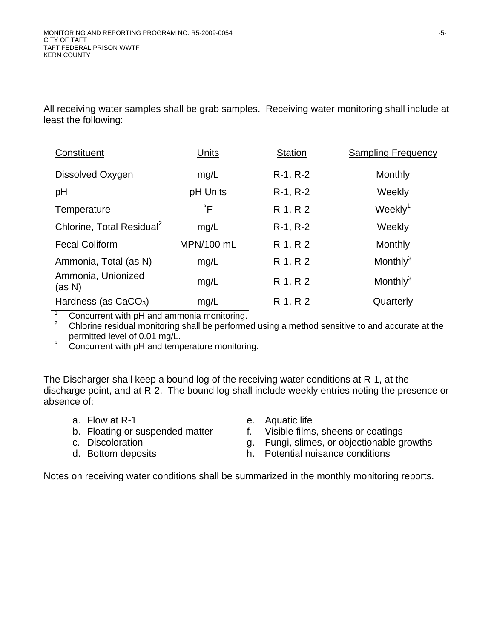All receiving water samples shall be grab samples. Receiving water monitoring shall include at least the following:

| Constituent                           | Units       | <b>Station</b> | <b>Sampling Frequency</b> |
|---------------------------------------|-------------|----------------|---------------------------|
| Dissolved Oxygen                      | mg/L        | $R-1, R-2$     | Monthly                   |
| pH                                    | pH Units    | R-1, R-2       | Weekly                    |
| Temperature                           | $\degree$ F | $R-1, R-2$     | Weekly <sup>1</sup>       |
| Chlorine, Total Residual <sup>2</sup> | mg/L        | $R-1, R-2$     | Weekly                    |
| <b>Fecal Coliform</b>                 | MPN/100 mL  | $R-1, R-2$     | Monthly                   |
| Ammonia, Total (as N)                 | mg/L        | $R-1, R-2$     | Monthly $3$               |
| Ammonia, Unionized<br>(as N)          | mg/L        | $R-1, R-2$     | Monthly $3$               |
| Hardness (as $CaCO3$ )                | mg/L        | $R-1, R-2$     | Quarterly                 |

1 Concurrent with pH and ammonia monitoring.

2 Chlorine residual monitoring shall be performed using a method sensitive to and accurate at the permitted level of 0.01 mg/L.

3 Concurrent with pH and temperature monitoring.

The Discharger shall keep a bound log of the receiving water conditions at R-1, at the discharge point, and at R-2. The bound log shall include weekly entries noting the presence or absence of:

- a. Flow at R-1 e. Aquatic life
- b. Floating or suspended matter f. Visible films, sheens or coatings
- 
- 
- 
- c. Discoloration g. Fungi, slimes, or objectionable growths
	-
- d. Bottom deposits h. Potential nuisance conditions

Notes on receiving water conditions shall be summarized in the monthly monitoring reports.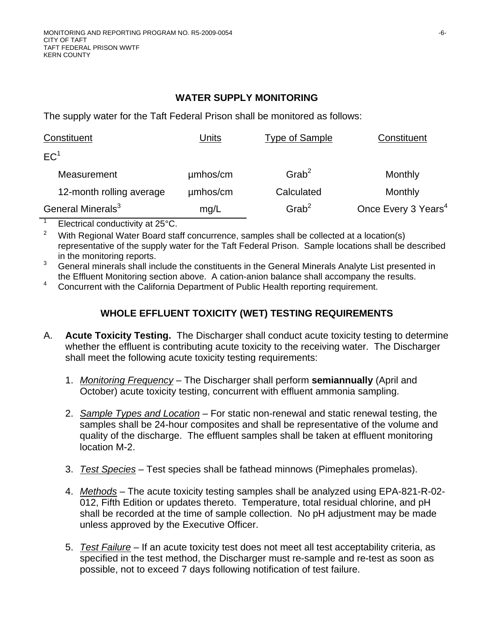## **WATER SUPPLY MONITORING**

The supply water for the Taft Federal Prison shall be monitored as follows:

| Constituent                   | Units    | <b>Type of Sample</b> | Constituent                     |
|-------------------------------|----------|-----------------------|---------------------------------|
| EC <sup>1</sup>               |          |                       |                                 |
| Measurement                   | umhos/cm | $G$ rab <sup>2</sup>  | Monthly                         |
| 12-month rolling average      | umhos/cm | Calculated            | Monthly                         |
| General Minerals <sup>3</sup> | mg/L     | $G$ rab <sup>2</sup>  | Once Every 3 Years <sup>4</sup> |

 $\overline{1}$ Electrical conductivity at 25°C.

2 With Regional Water Board staff concurrence, samples shall be collected at a location(s) representative of the supply water for the Taft Federal Prison. Sample locations shall be described in the monitoring reports.

3 General minerals shall include the constituents in the General Minerals Analyte List presented in the Effluent Monitoring section above. A cation-anion balance shall accompany the results.

4 Concurrent with the California Department of Public Health reporting requirement.

# **WHOLE EFFLUENT TOXICITY (WET) TESTING REQUIREMENTS**

- A. **Acute Toxicity Testing.** The Discharger shall conduct acute toxicity testing to determine whether the effluent is contributing acute toxicity to the receiving water. The Discharger shall meet the following acute toxicity testing requirements:
	- 1. *Monitoring Frequency* The Discharger shall perform **semiannually** (April and October) acute toxicity testing, concurrent with effluent ammonia sampling.
	- 2. *Sample Types and Location* For static non-renewal and static renewal testing, the samples shall be 24-hour composites and shall be representative of the volume and quality of the discharge. The effluent samples shall be taken at effluent monitoring location M-2.
	- 3. *Test Species* Test species shall be fathead minnows (Pimephales promelas).
	- 4. *Methods* The acute toxicity testing samples shall be analyzed using EPA-821-R-02- 012, Fifth Edition or updates thereto. Temperature, total residual chlorine, and pH shall be recorded at the time of sample collection. No pH adjustment may be made unless approved by the Executive Officer.
	- 5. *Test Failure* If an acute toxicity test does not meet all test acceptability criteria, as specified in the test method, the Discharger must re-sample and re-test as soon as possible, not to exceed 7 days following notification of test failure.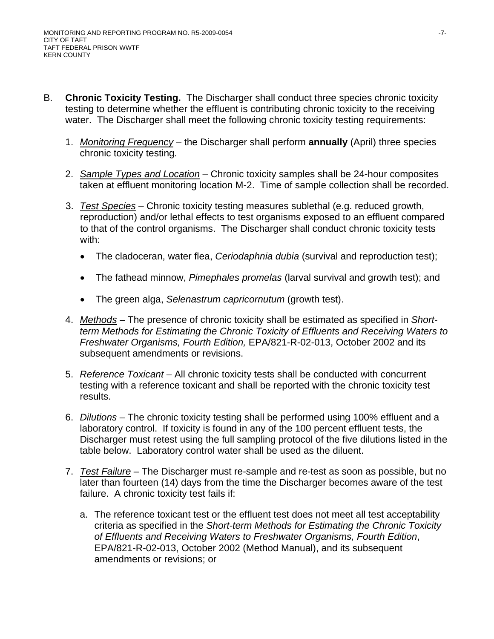- B. **Chronic Toxicity Testing.** The Discharger shall conduct three species chronic toxicity testing to determine whether the effluent is contributing chronic toxicity to the receiving water. The Discharger shall meet the following chronic toxicity testing requirements:
	- 1. *Monitoring Frequency* the Discharger shall perform **annually** (April) three species chronic toxicity testing*.*
	- 2. *Sample Types and Location* Chronic toxicity samples shall be 24-hour composites taken at effluent monitoring location M-2. Time of sample collection shall be recorded.
	- 3. *Test Species* Chronic toxicity testing measures sublethal (e.g. reduced growth, reproduction) and/or lethal effects to test organisms exposed to an effluent compared to that of the control organisms. The Discharger shall conduct chronic toxicity tests with:
		- The cladoceran, water flea, *Ceriodaphnia dubia* (survival and reproduction test);
		- The fathead minnow, *Pimephales promelas* (larval survival and growth test); and
		- The green alga, *Selenastrum capricornutum* (growth test).
	- 4. *Methods* The presence of chronic toxicity shall be estimated as specified in *Shortterm Methods for Estimating the Chronic Toxicity of Effluents and Receiving Waters to Freshwater Organisms, Fourth Edition,* EPA/821-R-02-013, October 2002 and its subsequent amendments or revisions.
	- 5. *Reference Toxicant* All chronic toxicity tests shall be conducted with concurrent testing with a reference toxicant and shall be reported with the chronic toxicity test results.
	- 6. *Dilutions* The chronic toxicity testing shall be performed using 100% effluent and a laboratory control. If toxicity is found in any of the 100 percent effluent tests, the Discharger must retest using the full sampling protocol of the five dilutions listed in the table below. Laboratory control water shall be used as the diluent.
	- 7. *Test Failure* The Discharger must re-sample and re-test as soon as possible, but no later than fourteen (14) days from the time the Discharger becomes aware of the test failure. A chronic toxicity test fails if:
		- a. The reference toxicant test or the effluent test does not meet all test acceptability criteria as specified in the *Short-term Methods for Estimating the Chronic Toxicity of Effluents and Receiving Waters to Freshwater Organisms, Fourth Edition*, EPA/821-R-02-013, October 2002 (Method Manual), and its subsequent amendments or revisions; or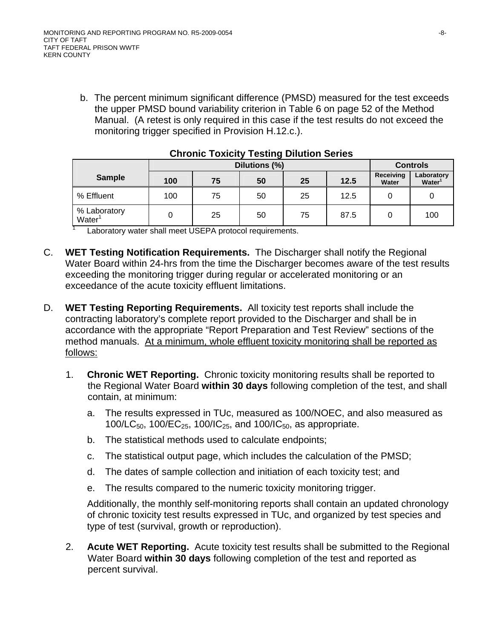b. The percent minimum significant difference (PMSD) measured for the test exceeds the upper PMSD bound variability criterion in Table 6 on page 52 of the Method Manual. (A retest is only required in this case if the test results do not exceed the monitoring trigger specified in Provision H.12.c.).

|                                    |                                                         | Dilutions (%) | <b>Controls</b> |    |      |                    |                                  |  |  |
|------------------------------------|---------------------------------------------------------|---------------|-----------------|----|------|--------------------|----------------------------------|--|--|
| <b>Sample</b>                      | 100                                                     | 75            | 50              | 25 | 12.5 | Receiving<br>Water | Laboratory<br>Water <sup>1</sup> |  |  |
| % Effluent                         | 100                                                     | 75            | 50              | 25 | 12.5 |                    |                                  |  |  |
| % Laboratory<br>Water <sup>1</sup> |                                                         | 25            | 50              | 75 | 87.5 |                    | 100                              |  |  |
|                                    | Loberator water aboll meet LICEDA protecol requirements |               |                 |    |      |                    |                                  |  |  |

### **Chronic Toxicity Testing Dilution Series**

Laboratory water shall meet USEPA protocol requirements.

- C. **WET Testing Notification Requirements.** The Discharger shall notify the Regional Water Board within 24-hrs from the time the Discharger becomes aware of the test results exceeding the monitoring trigger during regular or accelerated monitoring or an exceedance of the acute toxicity effluent limitations.
- D. **WET Testing Reporting Requirements.** All toxicity test reports shall include the contracting laboratory's complete report provided to the Discharger and shall be in accordance with the appropriate "Report Preparation and Test Review" sections of the method manuals. At a minimum, whole effluent toxicity monitoring shall be reported as follows:
	- 1. **Chronic WET Reporting.** Chronic toxicity monitoring results shall be reported to the Regional Water Board **within 30 days** following completion of the test, and shall contain, at minimum:
		- a. The results expressed in TUc, measured as 100/NOEC, and also measured as 100/LC<sub>50</sub>, 100/EC<sub>25</sub>, 100/IC<sub>25</sub>, and 100/IC<sub>50</sub>, as appropriate.
		- b. The statistical methods used to calculate endpoints;
		- c. The statistical output page, which includes the calculation of the PMSD;
		- d. The dates of sample collection and initiation of each toxicity test; and
		- e. The results compared to the numeric toxicity monitoring trigger.

Additionally, the monthly self-monitoring reports shall contain an updated chronology of chronic toxicity test results expressed in TUc, and organized by test species and type of test (survival, growth or reproduction).

2. **Acute WET Reporting.** Acute toxicity test results shall be submitted to the Regional Water Board **within 30 days** following completion of the test and reported as percent survival.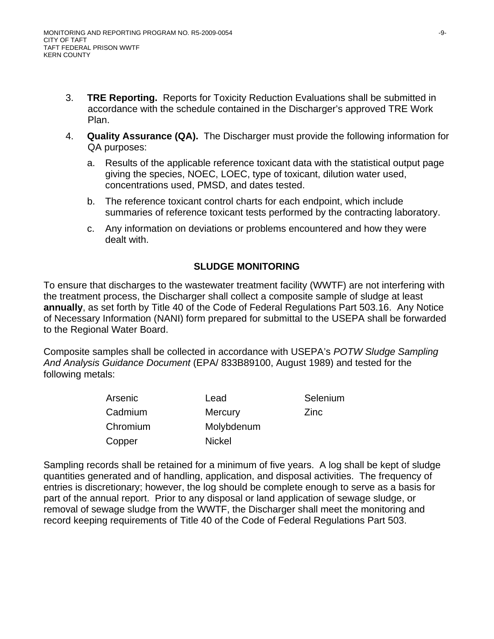- 3. **TRE Reporting.** Reports for Toxicity Reduction Evaluations shall be submitted in accordance with the schedule contained in the Discharger's approved TRE Work Plan.
- 4. **Quality Assurance (QA).** The Discharger must provide the following information for QA purposes:
	- a. Results of the applicable reference toxicant data with the statistical output page giving the species, NOEC, LOEC, type of toxicant, dilution water used, concentrations used, PMSD, and dates tested.
	- b. The reference toxicant control charts for each endpoint, which include summaries of reference toxicant tests performed by the contracting laboratory.
	- c. Any information on deviations or problems encountered and how they were dealt with.

# **SLUDGE MONITORING**

To ensure that discharges to the wastewater treatment facility (WWTF) are not interfering with the treatment process, the Discharger shall collect a composite sample of sludge at least **annually**, as set forth by Title 40 of the Code of Federal Regulations Part 503.16. Any Notice of Necessary Information (NANI) form prepared for submittal to the USEPA shall be forwarded to the Regional Water Board.

Composite samples shall be collected in accordance with USEPA's *POTW Sludge Sampling And Analysis Guidance Document* (EPA/ 833B89100, August 1989) and tested for the following metals:

| Arsenic  | Lead           | Selenium |
|----------|----------------|----------|
| Cadmium  | <b>Mercury</b> | Zinc     |
| Chromium | Molybdenum     |          |
| Copper   | <b>Nickel</b>  |          |

Sampling records shall be retained for a minimum of five years. A log shall be kept of sludge quantities generated and of handling, application, and disposal activities. The frequency of entries is discretionary; however, the log should be complete enough to serve as a basis for part of the annual report. Prior to any disposal or land application of sewage sludge, or removal of sewage sludge from the WWTF, the Discharger shall meet the monitoring and record keeping requirements of Title 40 of the Code of Federal Regulations Part 503.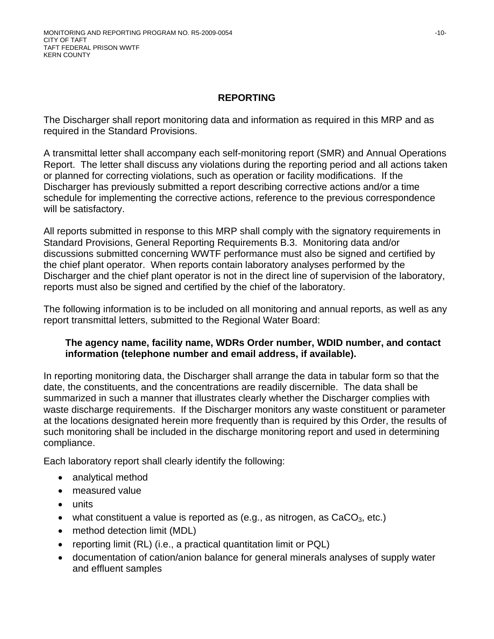## **REPORTING**

The Discharger shall report monitoring data and information as required in this MRP and as required in the Standard Provisions.

A transmittal letter shall accompany each self-monitoring report (SMR) and Annual Operations Report. The letter shall discuss any violations during the reporting period and all actions taken or planned for correcting violations, such as operation or facility modifications. If the Discharger has previously submitted a report describing corrective actions and/or a time schedule for implementing the corrective actions, reference to the previous correspondence will be satisfactory.

All reports submitted in response to this MRP shall comply with the signatory requirements in Standard Provisions, General Reporting Requirements B.3. Monitoring data and/or discussions submitted concerning WWTF performance must also be signed and certified by the chief plant operator. When reports contain laboratory analyses performed by the Discharger and the chief plant operator is not in the direct line of supervision of the laboratory, reports must also be signed and certified by the chief of the laboratory.

The following information is to be included on all monitoring and annual reports, as well as any report transmittal letters, submitted to the Regional Water Board:

### **The agency name, facility name, WDRs Order number, WDID number, and contact information (telephone number and email address, if available).**

In reporting monitoring data, the Discharger shall arrange the data in tabular form so that the date, the constituents, and the concentrations are readily discernible. The data shall be summarized in such a manner that illustrates clearly whether the Discharger complies with waste discharge requirements. If the Discharger monitors any waste constituent or parameter at the locations designated herein more frequently than is required by this Order, the results of such monitoring shall be included in the discharge monitoring report and used in determining compliance.

Each laboratory report shall clearly identify the following:

- analytical method
- measured value
- units
- what constituent a value is reported as (e.g., as nitrogen, as  $CaCO<sub>3</sub>$ , etc.)
- method detection limit (MDL)
- reporting limit (RL) (i.e., a practical quantitation limit or PQL)
- documentation of cation/anion balance for general minerals analyses of supply water and effluent samples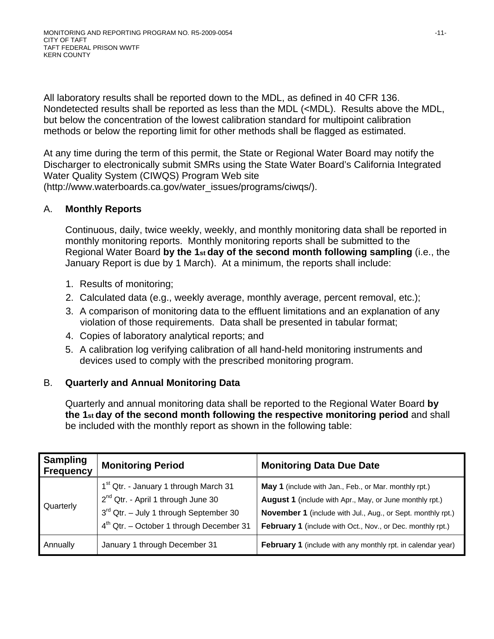All laboratory results shall be reported down to the MDL, as defined in 40 CFR 136. Nondetected results shall be reported as less than the MDL (<MDL). Results above the MDL, but below the concentration of the lowest calibration standard for multipoint calibration methods or below the reporting limit for other methods shall be flagged as estimated.

At any time during the term of this permit, the State or Regional Water Board may notify the Discharger to electronically submit SMRs using the State Water Board's California Integrated Water Quality System (CIWQS) Program Web site (http://www.waterboards.ca.gov/water\_issues/programs/ciwqs/).

### A. **Monthly Reports**

Continuous, daily, twice weekly, weekly, and monthly monitoring data shall be reported in monthly monitoring reports. Monthly monitoring reports shall be submitted to the Regional Water Board **by the 1st day of the second month following sampling** (i.e., the January Report is due by 1 March). At a minimum, the reports shall include:

- 1. Results of monitoring;
- 2. Calculated data (e.g., weekly average, monthly average, percent removal, etc.);
- 3. A comparison of monitoring data to the effluent limitations and an explanation of any violation of those requirements. Data shall be presented in tabular format;
- 4. Copies of laboratory analytical reports; and
- 5. A calibration log verifying calibration of all hand-held monitoring instruments and devices used to comply with the prescribed monitoring program.

## B. **Quarterly and Annual Monitoring Data**

Quarterly and annual monitoring data shall be reported to the Regional Water Board **by the 1st day of the second month following the respective monitoring period** and shall be included with the monthly report as shown in the following table:

| <b>Sampling</b><br><b>Frequency</b> | <b>Monitoring Period</b>                                                                                                                                                               | <b>Monitoring Data Due Date</b>                                                                                                                                                                                                               |
|-------------------------------------|----------------------------------------------------------------------------------------------------------------------------------------------------------------------------------------|-----------------------------------------------------------------------------------------------------------------------------------------------------------------------------------------------------------------------------------------------|
| Quarterly                           | 1 <sup>st</sup> Qtr. - January 1 through March 31<br>$2^{nd}$ Qtr. - April 1 through June 30<br>$3rd$ Qtr. – July 1 through September 30<br>$4th$ Qtr. – October 1 through December 31 | May 1 (include with Jan., Feb., or Mar. monthly rpt.)<br>August 1 (include with Apr., May, or June monthly rpt.)<br>November 1 (include with Jul., Aug., or Sept. monthly rpt.)<br>February 1 (include with Oct., Nov., or Dec. monthly rpt.) |
| Annually                            | January 1 through December 31                                                                                                                                                          | <b>February 1</b> (include with any monthly rpt. in calendar year)                                                                                                                                                                            |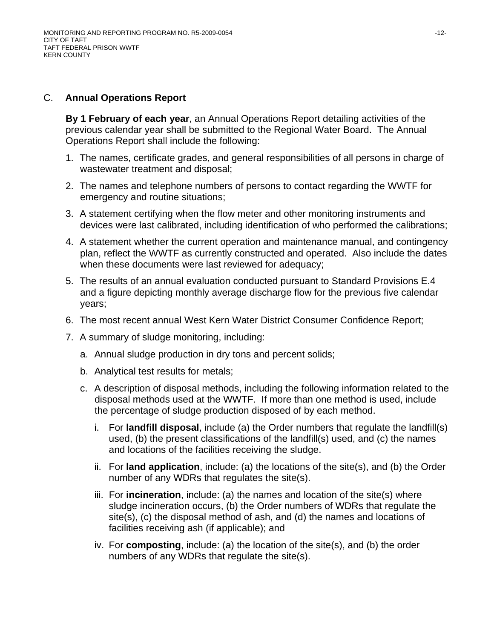### C. **Annual Operations Report**

**By 1 February of each year**, an Annual Operations Report detailing activities of the previous calendar year shall be submitted to the Regional Water Board. The Annual Operations Report shall include the following:

- 1. The names, certificate grades, and general responsibilities of all persons in charge of wastewater treatment and disposal;
- 2. The names and telephone numbers of persons to contact regarding the WWTF for emergency and routine situations;
- 3. A statement certifying when the flow meter and other monitoring instruments and devices were last calibrated, including identification of who performed the calibrations;
- 4. A statement whether the current operation and maintenance manual, and contingency plan, reflect the WWTF as currently constructed and operated. Also include the dates when these documents were last reviewed for adequacy;
- 5. The results of an annual evaluation conducted pursuant to Standard Provisions E.4 and a figure depicting monthly average discharge flow for the previous five calendar years;
- 6. The most recent annual West Kern Water District Consumer Confidence Report;
- 7. A summary of sludge monitoring, including:
	- a. Annual sludge production in dry tons and percent solids;
	- b. Analytical test results for metals;
	- c. A description of disposal methods, including the following information related to the disposal methods used at the WWTF. If more than one method is used, include the percentage of sludge production disposed of by each method.
		- i. For **landfill disposal**, include (a) the Order numbers that regulate the landfill(s) used, (b) the present classifications of the landfill(s) used, and (c) the names and locations of the facilities receiving the sludge.
		- ii. For **land application**, include: (a) the locations of the site(s), and (b) the Order number of any WDRs that regulates the site(s).
		- iii. For **incineration**, include: (a) the names and location of the site(s) where sludge incineration occurs, (b) the Order numbers of WDRs that regulate the site(s), (c) the disposal method of ash, and (d) the names and locations of facilities receiving ash (if applicable); and
		- iv. For **composting**, include: (a) the location of the site(s), and (b) the order numbers of any WDRs that regulate the site(s).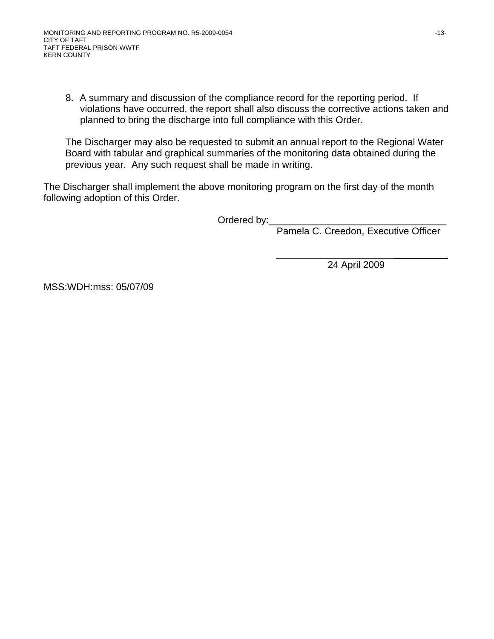8. A summary and discussion of the compliance record for the reporting period. If violations have occurred, the report shall also discuss the corrective actions taken and planned to bring the discharge into full compliance with this Order.

The Discharger may also be requested to submit an annual report to the Regional Water Board with tabular and graphical summaries of the monitoring data obtained during the previous year. Any such request shall be made in writing.

The Discharger shall implement the above monitoring program on the first day of the month following adoption of this Order.

Ordered by:

 $\frac{1}{2}$  , and the contract of the contract of the contract of the contract of the contract of the contract of the contract of the contract of the contract of the contract of the contract of the contract of the contract

Pamela C. Creedon, Executive Officer

24 April 2009

MSS:WDH:mss: 05/07/09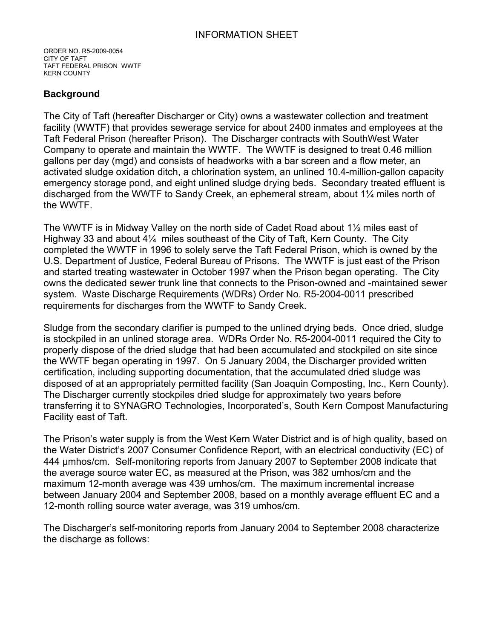ORDER NO. R5-2009-0054 CITY OF TAFT TAFT FEDERAL PRISON WWTF KERN COUNTY

### **Background**

The City of Taft (hereafter Discharger or City) owns a wastewater collection and treatment facility (WWTF) that provides sewerage service for about 2400 inmates and employees at the Taft Federal Prison (hereafter Prison). The Discharger contracts with SouthWest Water Company to operate and maintain the WWTF. The WWTF is designed to treat 0.46 million gallons per day (mgd) and consists of headworks with a bar screen and a flow meter, an activated sludge oxidation ditch, a chlorination system, an unlined 10.4-million-gallon capacity emergency storage pond, and eight unlined sludge drying beds. Secondary treated effluent is discharged from the WWTF to Sandy Creek, an ephemeral stream, about 1¼ miles north of the WWTF.

The WWTF is in Midway Valley on the north side of Cadet Road about 1½ miles east of Highway 33 and about 4¼ miles southeast of the City of Taft, Kern County. The City completed the WWTF in 1996 to solely serve the Taft Federal Prison, which is owned by the U.S. Department of Justice, Federal Bureau of Prisons. The WWTF is just east of the Prison and started treating wastewater in October 1997 when the Prison began operating. The City owns the dedicated sewer trunk line that connects to the Prison-owned and -maintained sewer system. Waste Discharge Requirements (WDRs) Order No. R5-2004-0011 prescribed requirements for discharges from the WWTF to Sandy Creek.

Sludge from the secondary clarifier is pumped to the unlined drying beds. Once dried, sludge is stockpiled in an unlined storage area. WDRs Order No. R5-2004-0011 required the City to properly dispose of the dried sludge that had been accumulated and stockpiled on site since the WWTF began operating in 1997. On 5 January 2004, the Discharger provided written certification, including supporting documentation, that the accumulated dried sludge was disposed of at an appropriately permitted facility (San Joaquin Composting, Inc., Kern County). The Discharger currently stockpiles dried sludge for approximately two years before transferring it to SYNAGRO Technologies, Incorporated's, South Kern Compost Manufacturing Facility east of Taft.

The Prison's water supply is from the West Kern Water District and is of high quality, based on the Water District's 2007 Consumer Confidence Report*,* with an electrical conductivity (EC) of 444 µmhos/cm. Self-monitoring reports from January 2007 to September 2008 indicate that the average source water EC, as measured at the Prison, was 382 umhos/cm and the maximum 12-month average was 439 umhos/cm. The maximum incremental increase between January 2004 and September 2008, based on a monthly average effluent EC and a 12-month rolling source water average, was 319 umhos/cm.

The Discharger's self-monitoring reports from January 2004 to September 2008 characterize the discharge as follows: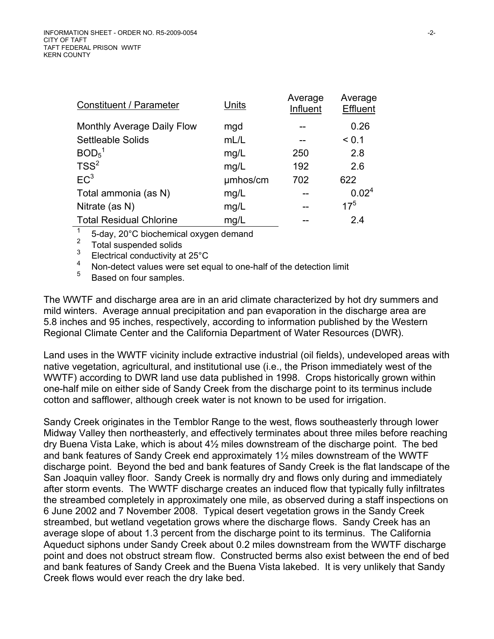| Units    | Average<br>Influent | Average<br>Effluent |
|----------|---------------------|---------------------|
| mgd      |                     | 0.26                |
| mL/L     |                     | < 0.1               |
| mg/L     | 250                 | 2.8                 |
| mg/L     | 192                 | 2.6                 |
| umhos/cm | 702                 | 622                 |
| mg/L     |                     | 0.02 <sup>4</sup>   |
| mg/L     |                     | $17^{5}$            |
| mg/L     |                     | 2.4                 |
|          |                     |                     |

 $\frac{1}{2}$  5-day, 20 $^{\circ}$ C biochemical oxygen demand

 $\frac{2}{3}$  Total suspended solids

 $\frac{3}{4}$  Electrical conductivity at 25°C

 $^{4}$  Non-detect values were set equal to one-half of the detection limit  $^{5}$ 

<sup>5</sup> Based on four samples.

The WWTF and discharge area are in an arid climate characterized by hot dry summers and mild winters. Average annual precipitation and pan evaporation in the discharge area are 5.8 inches and 95 inches, respectively, according to information published by the Western Regional Climate Center and the California Department of Water Resources (DWR).

Land uses in the WWTF vicinity include extractive industrial (oil fields), undeveloped areas with native vegetation, agricultural, and institutional use (i.e., the Prison immediately west of the WWTF) according to DWR land use data published in 1998. Crops historically grown within one-half mile on either side of Sandy Creek from the discharge point to its terminus include cotton and safflower, although creek water is not known to be used for irrigation.

Sandy Creek originates in the Temblor Range to the west, flows southeasterly through lower Midway Valley then northeasterly, and effectively terminates about three miles before reaching dry Buena Vista Lake, which is about 4½ miles downstream of the discharge point. The bed and bank features of Sandy Creek end approximately 1½ miles downstream of the WWTF discharge point. Beyond the bed and bank features of Sandy Creek is the flat landscape of the San Joaquin valley floor. Sandy Creek is normally dry and flows only during and immediately after storm events. The WWTF discharge creates an induced flow that typically fully infiltrates the streambed completely in approximately one mile, as observed during a staff inspections on 6 June 2002 and 7 November 2008. Typical desert vegetation grows in the Sandy Creek streambed, but wetland vegetation grows where the discharge flows. Sandy Creek has an average slope of about 1.3 percent from the discharge point to its terminus. The California Aqueduct siphons under Sandy Creek about 0.2 miles downstream from the WWTF discharge point and does not obstruct stream flow. Constructed berms also exist between the end of bed and bank features of Sandy Creek and the Buena Vista lakebed. It is very unlikely that Sandy Creek flows would ever reach the dry lake bed.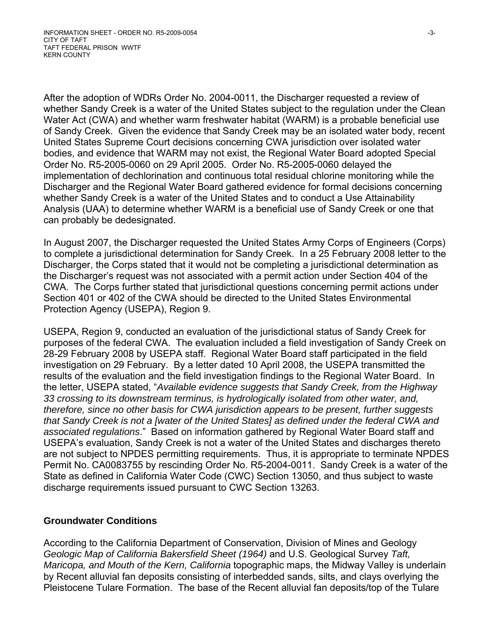After the adoption of WDRs Order No. 2004-0011, the Discharger requested a review of whether Sandy Creek is a water of the United States subject to the regulation under the Clean Water Act (CWA) and whether warm freshwater habitat (WARM) is a probable beneficial use of Sandy Creek. Given the evidence that Sandy Creek may be an isolated water body, recent United States Supreme Court decisions concerning CWA jurisdiction over isolated water bodies, and evidence that WARM may not exist, the Regional Water Board adopted Special Order No. R5-2005-0060 on 29 April 2005. Order No. R5-2005-0060 delayed the implementation of dechlorination and continuous total residual chlorine monitoring while the Discharger and the Regional Water Board gathered evidence for formal decisions concerning whether Sandy Creek is a water of the United States and to conduct a Use Attainability Analysis (UAA) to determine whether WARM is a beneficial use of Sandy Creek or one that can probably be dedesignated.

In August 2007, the Discharger requested the United States Army Corps of Engineers (Corps) to complete a jurisdictional determination for Sandy Creek. In a 25 February 2008 letter to the Discharger, the Corps stated that it would not be completing a jurisdictional determination as the Discharger's request was not associated with a permit action under Section 404 of the CWA. The Corps further stated that jurisdictional questions concerning permit actions under Section 401 or 402 of the CWA should be directed to the United States Environmental Protection Agency (USEPA), Region 9.

USEPA, Region 9, conducted an evaluation of the jurisdictional status of Sandy Creek for purposes of the federal CWA. The evaluation included a field investigation of Sandy Creek on 28-29 February 2008 by USEPA staff. Regional Water Board staff participated in the field investigation on 29 February. By a letter dated 10 April 2008, the USEPA transmitted the results of the evaluation and the field investigation findings to the Regional Water Board. In the letter, USEPA stated, "*Available evidence suggests that Sandy Creek, from the Highway 33 crossing to its downstream terminus, is hydrologically isolated from other water, and, therefore, since no other basis for CWA jurisdiction appears to be present, further suggests that Sandy Creek is not a [water of the United States] as defined under the federal CWA and associated regulations*." Based on information gathered by Regional Water Board staff and USEPA's evaluation, Sandy Creek is not a water of the United States and discharges thereto are not subject to NPDES permitting requirements. Thus, it is appropriate to terminate NPDES Permit No. CA0083755 by rescinding Order No. R5-2004-0011. Sandy Creek is a water of the State as defined in California Water Code (CWC) Section 13050, and thus subject to waste discharge requirements issued pursuant to CWC Section 13263.

### **Groundwater Conditions**

According to the California Department of Conservation, Division of Mines and Geology *Geologic Map of California Bakersfield Sheet (1964)* and U.S. Geological Survey *Taft, Maricopa, and Mouth of the Kern, California* topographic maps, the Midway Valley is underlain by Recent alluvial fan deposits consisting of interbedded sands, silts, and clays overlying the Pleistocene Tulare Formation. The base of the Recent alluvial fan deposits/top of the Tulare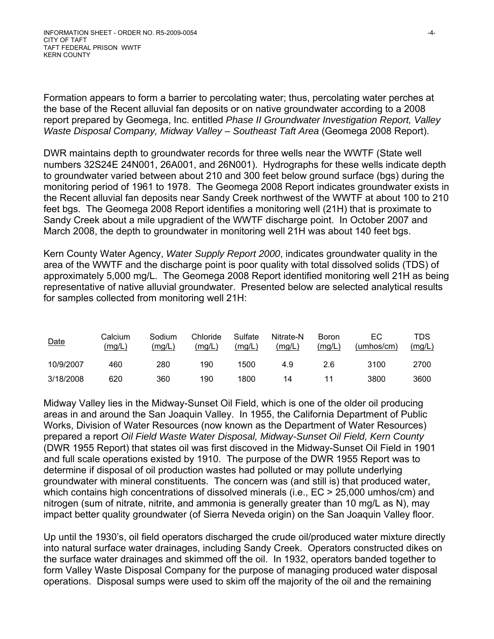Formation appears to form a barrier to percolating water; thus, percolating water perches at the base of the Recent alluvial fan deposits or on native groundwater according to a 2008 report prepared by Geomega, Inc. entitled *Phase II Groundwater Investigation Report, Valley*  Waste Disposal Company, Midway Valley - Southeast Taft Area (Geomega 2008 Report).

DWR maintains depth to groundwater records for three wells near the WWTF (State well numbers 32S24E 24N001, 26A001, and 26N001). Hydrographs for these wells indicate depth to groundwater varied between about 210 and 300 feet below ground surface (bgs) during the monitoring period of 1961 to 1978. The Geomega 2008 Report indicates groundwater exists in the Recent alluvial fan deposits near Sandy Creek northwest of the WWTF at about 100 to 210 feet bgs. The Geomega 2008 Report identifies a monitoring well (21H) that is proximate to Sandy Creek about a mile upgradient of the WWTF discharge point. In October 2007 and March 2008, the depth to groundwater in monitoring well 21H was about 140 feet bgs.

Kern County Water Agency, *Water Supply Report 2000*, indicates groundwater quality in the area of the WWTF and the discharge point is poor quality with total dissolved solids (TDS) of approximately 5,000 mg/L. The Geomega 2008 Report identified monitoring well 21H as being representative of native alluvial groundwater. Presented below are selected analytical results for samples collected from monitoring well 21H:

| <u>Date</u> | Calcium<br>(mg/L) | Sodium<br>(mg/L) | Chloride<br>(mg/L) | Sulfate<br>(mg/L) | Nitrate-N<br>(mg/L) | Boron<br>(mg/L) | ЕC<br>(umhos/cm) | TDS<br>(mg/L) |
|-------------|-------------------|------------------|--------------------|-------------------|---------------------|-----------------|------------------|---------------|
| 10/9/2007   | 460               | 280              | 190                | 1500              | 4.9                 | 2.6             | 3100             | 2700          |
| 3/18/2008   | 620               | 360              | 190                | 1800              | 14                  |                 | 3800             | 3600          |

Midway Valley lies in the Midway-Sunset Oil Field, which is one of the older oil producing areas in and around the San Joaquin Valley. In 1955, the California Department of Public Works, Division of Water Resources (now known as the Department of Water Resources) prepared a report *Oil Field Waste Water Disposal, Midway-Sunset Oil Field, Kern County* (DWR 1955 Report) that states oil was first discoved in the Midway-Sunset Oil Field in 1901 and full scale operations existed by 1910. The purpose of the DWR 1955 Report was to determine if disposal of oil production wastes had polluted or may pollute underlying groundwater with mineral constituents. The concern was (and still is) that produced water, which contains high concentrations of dissolved minerals (i.e.,  $EC > 25,000$  umhos/cm) and nitrogen (sum of nitrate, nitrite, and ammonia is generally greater than 10 mg/L as N), may impact better quality groundwater (of Sierra Neveda origin) on the San Joaquin Valley floor.

Up until the 1930's, oil field operators discharged the crude oil/produced water mixture directly into natural surface water drainages, including Sandy Creek. Operators constructed dikes on the surface water drainages and skimmed off the oil. In 1932, operators banded together to form Valley Waste Disposal Company for the purpose of managing produced water disposal operations. Disposal sumps were used to skim off the majority of the oil and the remaining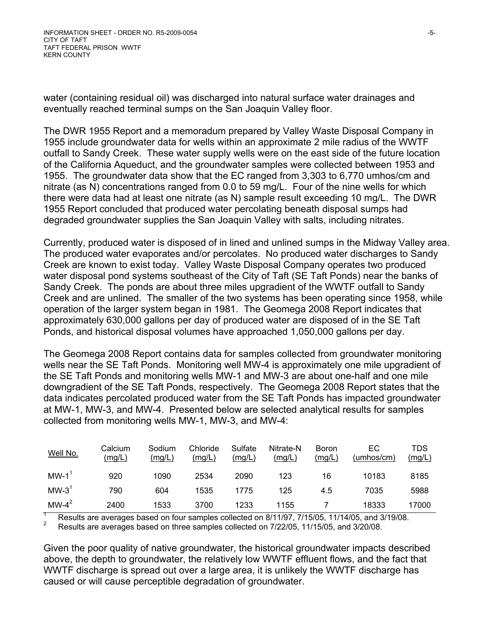water (containing residual oil) was discharged into natural surface water drainages and eventually reached terminal sumps on the San Joaquin Valley floor.

The DWR 1955 Report and a memoradum prepared by Valley Waste Disposal Company in 1955 include groundwater data for wells within an approximate 2 mile radius of the WWTF outfall to Sandy Creek. These water supply wells were on the east side of the future location of the California Aqueduct, and the groundwater samples were collected between 1953 and 1955. The groundwater data show that the EC ranged from 3,303 to 6,770 umhos/cm and nitrate (as N) concentrations ranged from 0.0 to 59 mg/L. Four of the nine wells for which there were data had at least one nitrate (as N) sample result exceeding 10 mg/L. The DWR 1955 Report concluded that produced water percolating beneath disposal sumps had degraded groundwater supplies the San Joaquin Valley with salts, including nitrates.

Currently, produced water is disposed of in lined and unlined sumps in the Midway Valley area. The produced water evaporates and/or percolates. No produced water discharges to Sandy Creek are known to exist today. Valley Waste Disposal Company operates two produced water disposal pond systems southeast of the City of Taft (SE Taft Ponds) near the banks of Sandy Creek. The ponds are about three miles upgradient of the WWTF outfall to Sandy Creek and are unlined. The smaller of the two systems has been operating since 1958, while operation of the larger system began in 1981. The Geomega 2008 Report indicates that approximately 630,000 gallons per day of produced water are disposed of in the SE Taft Ponds, and historical disposal volumes have approached 1,050,000 gallons per day.

The Geomega 2008 Report contains data for samples collected from groundwater monitoring wells near the SE Taft Ponds. Monitoring well MW-4 is approximately one mile upgradient of the SE Taft Ponds and monitoring wells MW-1 and MW-3 are about one-half and one mile downgradient of the SE Taft Ponds, respectively. The Geomega 2008 Report states that the data indicates percolated produced water from the SE Taft Ponds has impacted groundwater at MW-1, MW-3, and MW-4. Presented below are selected analytical results for samples collected from monitoring wells MW-1, MW-3, and MW-4:

| Well No. | Calcium<br>(mg/L) | Sodium<br>(mg/L) | Chloride<br>(mg/L) | Sulfate<br>(mg/L) | Nitrate-N<br>(mg/L) | <b>Boron</b><br>(mg/L) | ЕC<br>(umhos/cm) | TDS<br>(mglL) |
|----------|-------------------|------------------|--------------------|-------------------|---------------------|------------------------|------------------|---------------|
| $MW-1$   | 920               | 1090             | 2534               | 2090              | 123                 | 16                     | 10183            | 8185          |
| $MW-31$  | 790               | 604              | 1535               | 1775              | 125                 | 4.5                    | 7035             | 5988          |
| $MW-4^2$ | 2400              | 1533             | 3700               | 1233              | 1155                |                        | 18333            | 17000         |

1 Results are averages based on four samples collected on 8/11/97, 7/15/05, 11/14/05, and 3/19/08.  $\mathfrak{p}$ Results are averages based on three samples collected on 7/22/05, 11/15/05, and 3/20/08.

Given the poor quality of native groundwater, the historical groundwater impacts described above, the depth to groundwater, the relatively low WWTF effluent flows, and the fact that WWTF discharge is spread out over a large area, it is unlikely the WWTF discharge has caused or will cause perceptible degradation of groundwater.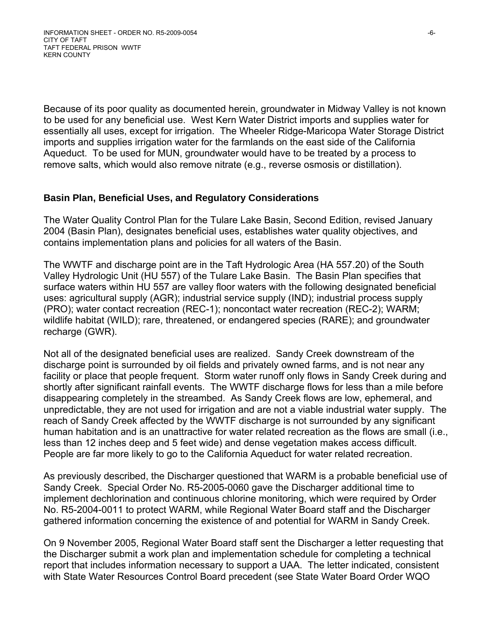Because of its poor quality as documented herein, groundwater in Midway Valley is not known to be used for any beneficial use. West Kern Water District imports and supplies water for essentially all uses, except for irrigation. The Wheeler Ridge-Maricopa Water Storage District imports and supplies irrigation water for the farmlands on the east side of the California Aqueduct. To be used for MUN, groundwater would have to be treated by a process to remove salts, which would also remove nitrate (e.g., reverse osmosis or distillation).

### **Basin Plan, Beneficial Uses, and Regulatory Considerations**

The Water Quality Control Plan for the Tulare Lake Basin, Second Edition, revised January 2004 (Basin Plan), designates beneficial uses, establishes water quality objectives, and contains implementation plans and policies for all waters of the Basin.

The WWTF and discharge point are in the Taft Hydrologic Area (HA 557.20) of the South Valley Hydrologic Unit (HU 557) of the Tulare Lake Basin. The Basin Plan specifies that surface waters within HU 557 are valley floor waters with the following designated beneficial uses: agricultural supply (AGR); industrial service supply (IND); industrial process supply (PRO); water contact recreation (REC-1); noncontact water recreation (REC-2); WARM; wildlife habitat (WILD); rare, threatened, or endangered species (RARE); and groundwater recharge (GWR).

Not all of the designated beneficial uses are realized. Sandy Creek downstream of the discharge point is surrounded by oil fields and privately owned farms, and is not near any facility or place that people frequent. Storm water runoff only flows in Sandy Creek during and shortly after significant rainfall events. The WWTF discharge flows for less than a mile before disappearing completely in the streambed. As Sandy Creek flows are low, ephemeral, and unpredictable, they are not used for irrigation and are not a viable industrial water supply. The reach of Sandy Creek affected by the WWTF discharge is not surrounded by any significant human habitation and is an unattractive for water related recreation as the flows are small (i.e., less than 12 inches deep and 5 feet wide) and dense vegetation makes access difficult. People are far more likely to go to the California Aqueduct for water related recreation.

As previously described, the Discharger questioned that WARM is a probable beneficial use of Sandy Creek. Special Order No. R5-2005-0060 gave the Discharger additional time to implement dechlorination and continuous chlorine monitoring, which were required by Order No. R5-2004-0011 to protect WARM, while Regional Water Board staff and the Discharger gathered information concerning the existence of and potential for WARM in Sandy Creek.

On 9 November 2005, Regional Water Board staff sent the Discharger a letter requesting that the Discharger submit a work plan and implementation schedule for completing a technical report that includes information necessary to support a UAA. The letter indicated, consistent with State Water Resources Control Board precedent (see State Water Board Order WQO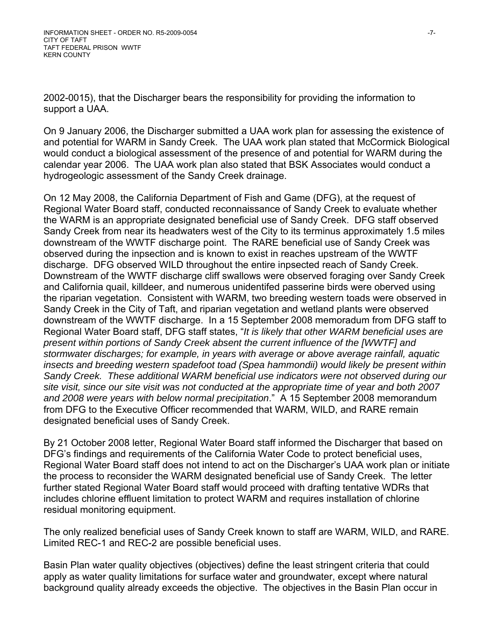2002-0015), that the Discharger bears the responsibility for providing the information to support a UAA.

On 9 January 2006, the Discharger submitted a UAA work plan for assessing the existence of and potential for WARM in Sandy Creek. The UAA work plan stated that McCormick Biological would conduct a biological assessment of the presence of and potential for WARM during the calendar year 2006. The UAA work plan also stated that BSK Associates would conduct a hydrogeologic assessment of the Sandy Creek drainage.

On 12 May 2008, the California Department of Fish and Game (DFG), at the request of Regional Water Board staff, conducted reconnaissance of Sandy Creek to evaluate whether the WARM is an appropriate designated beneficial use of Sandy Creek. DFG staff observed Sandy Creek from near its headwaters west of the City to its terminus approximately 1.5 miles downstream of the WWTF discharge point. The RARE beneficial use of Sandy Creek was observed during the inpsection and is known to exist in reaches upstream of the WWTF discharge. DFG observed WILD throughout the entire inpsected reach of Sandy Creek. Downstream of the WWTF discharge cliff swallows were observed foraging over Sandy Creek and California quail, killdeer, and numerous unidentifed passerine birds were oberved using the riparian vegetation. Consistent with WARM, two breeding western toads were observed in Sandy Creek in the City of Taft, and riparian vegetation and wetland plants were observed downstream of the WWTF discharge. In a 15 September 2008 memoradum from DFG staff to Regional Water Board staff, DFG staff states, "*It is likely that other WARM beneficial uses are present within portions of Sandy Creek absent the current influence of the [WWTF] and stormwater discharges; for example, in years with average or above average rainfall, aquatic insects and breeding western spadefoot toad (Spea hammondii) would likely be present within Sandy Creek. These additional WARM beneficial use indicators were not observed during our site visit, since our site visit was not conducted at the appropriate time of year and both 2007 and 2008 were years with below normal precipitation*." A 15 September 2008 memorandum from DFG to the Executive Officer recommended that WARM, WILD, and RARE remain designated beneficial uses of Sandy Creek.

By 21 October 2008 letter, Regional Water Board staff informed the Discharger that based on DFG's findings and requirements of the California Water Code to protect beneficial uses, Regional Water Board staff does not intend to act on the Discharger's UAA work plan or initiate the process to reconsider the WARM designated beneficial use of Sandy Creek. The letter further stated Regional Water Board staff would proceed with drafting tentative WDRs that includes chlorine effluent limitation to protect WARM and requires installation of chlorine residual monitoring equipment.

The only realized beneficial uses of Sandy Creek known to staff are WARM, WILD, and RARE. Limited REC-1 and REC-2 are possible beneficial uses.

Basin Plan water quality objectives (objectives) define the least stringent criteria that could apply as water quality limitations for surface water and groundwater, except where natural background quality already exceeds the objective. The objectives in the Basin Plan occur in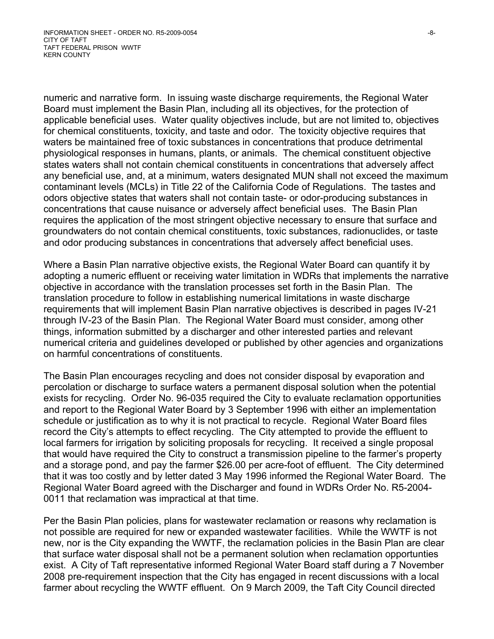numeric and narrative form. In issuing waste discharge requirements, the Regional Water Board must implement the Basin Plan, including all its objectives, for the protection of applicable beneficial uses. Water quality objectives include, but are not limited to, objectives for chemical constituents, toxicity, and taste and odor. The toxicity objective requires that waters be maintained free of toxic substances in concentrations that produce detrimental physiological responses in humans, plants, or animals. The chemical constituent objective states waters shall not contain chemical constituents in concentrations that adversely affect any beneficial use, and, at a minimum, waters designated MUN shall not exceed the maximum contaminant levels (MCLs) in Title 22 of the California Code of Regulations. The tastes and odors objective states that waters shall not contain taste- or odor-producing substances in concentrations that cause nuisance or adversely affect beneficial uses. The Basin Plan requires the application of the most stringent objective necessary to ensure that surface and groundwaters do not contain chemical constituents, toxic substances, radionuclides, or taste and odor producing substances in concentrations that adversely affect beneficial uses.

Where a Basin Plan narrative objective exists, the Regional Water Board can quantify it by adopting a numeric effluent or receiving water limitation in WDRs that implements the narrative objective in accordance with the translation processes set forth in the Basin Plan. The translation procedure to follow in establishing numerical limitations in waste discharge requirements that will implement Basin Plan narrative objectives is described in pages IV-21 through IV-23 of the Basin Plan. The Regional Water Board must consider, among other things, information submitted by a discharger and other interested parties and relevant numerical criteria and guidelines developed or published by other agencies and organizations on harmful concentrations of constituents.

The Basin Plan encourages recycling and does not consider disposal by evaporation and percolation or discharge to surface waters a permanent disposal solution when the potential exists for recycling. Order No. 96-035 required the City to evaluate reclamation opportunities and report to the Regional Water Board by 3 September 1996 with either an implementation schedule or justification as to why it is not practical to recycle. Regional Water Board files record the City's attempts to effect recycling. The City attempted to provide the effluent to local farmers for irrigation by soliciting proposals for recycling. It received a single proposal that would have required the City to construct a transmission pipeline to the farmer's property and a storage pond, and pay the farmer \$26.00 per acre-foot of effluent. The City determined that it was too costly and by letter dated 3 May 1996 informed the Regional Water Board. The Regional Water Board agreed with the Discharger and found in WDRs Order No. R5-2004- 0011 that reclamation was impractical at that time.

Per the Basin Plan policies, plans for wastewater reclamation or reasons why reclamation is not possible are required for new or expanded wastewater facilities. While the WWTF is not new, nor is the City expanding the WWTF, the reclamation policies in the Basin Plan are clear that surface water disposal shall not be a permanent solution when reclamation opportunties exist. A City of Taft representative informed Regional Water Board staff during a 7 November 2008 pre-requirement inspection that the City has engaged in recent discussions with a local farmer about recycling the WWTF effluent. On 9 March 2009, the Taft City Council directed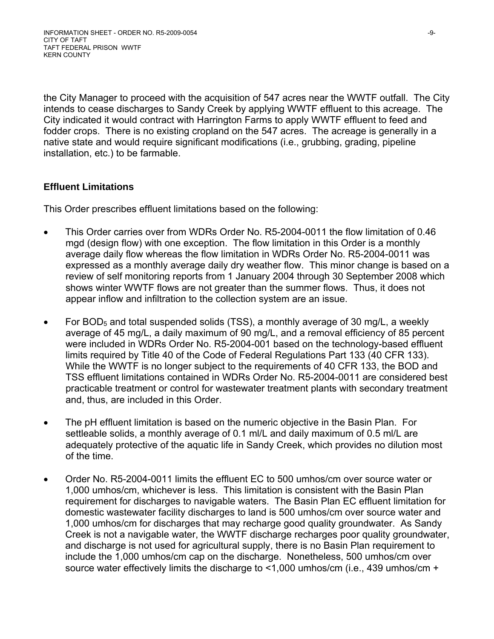the City Manager to proceed with the acquisition of 547 acres near the WWTF outfall. The City intends to cease discharges to Sandy Creek by applying WWTF effluent to this acreage. The City indicated it would contract with Harrington Farms to apply WWTF effluent to feed and fodder crops. There is no existing cropland on the 547 acres. The acreage is generally in a native state and would require significant modifications (i.e., grubbing, grading, pipeline installation, etc.) to be farmable.

# **Effluent Limitations**

This Order prescribes effluent limitations based on the following:

- This Order carries over from WDRs Order No. R5-2004-0011 the flow limitation of 0.46 mgd (design flow) with one exception. The flow limitation in this Order is a monthly average daily flow whereas the flow limitation in WDRs Order No. R5-2004-0011 was expressed as a monthly average daily dry weather flow. This minor change is based on a review of self monitoring reports from 1 January 2004 through 30 September 2008 which shows winter WWTF flows are not greater than the summer flows. Thus, it does not appear inflow and infiltration to the collection system are an issue.
- For BOD<sub>5</sub> and total suspended solids (TSS), a monthly average of 30 mg/L, a weekly average of 45 mg/L, a daily maximum of 90 mg/L, and a removal efficiency of 85 percent were included in WDRs Order No. R5-2004-001 based on the technology-based effluent limits required by Title 40 of the Code of Federal Regulations Part 133 (40 CFR 133). While the WWTF is no longer subject to the requirements of 40 CFR 133, the BOD and TSS effluent limitations contained in WDRs Order No. R5-2004-0011 are considered best practicable treatment or control for wastewater treatment plants with secondary treatment and, thus, are included in this Order.
- The pH effluent limitation is based on the numeric objective in the Basin Plan. For settleable solids, a monthly average of 0.1 ml/L and daily maximum of 0.5 ml/L are adequately protective of the aquatic life in Sandy Creek, which provides no dilution most of the time.
- Order No. R5-2004-0011 limits the effluent EC to 500 umhos/cm over source water or 1,000 umhos/cm, whichever is less. This limitation is consistent with the Basin Plan requirement for discharges to navigable waters. The Basin Plan EC effluent limitation for domestic wastewater facility discharges to land is 500 umhos/cm over source water and 1,000 umhos/cm for discharges that may recharge good quality groundwater. As Sandy Creek is not a navigable water, the WWTF discharge recharges poor quality groundwater, and discharge is not used for agricultural supply, there is no Basin Plan requirement to include the 1,000 umhos/cm cap on the discharge. Nonetheless, 500 umhos/cm over source water effectively limits the discharge to <1,000 umhos/cm (i.e., 439 umhos/cm +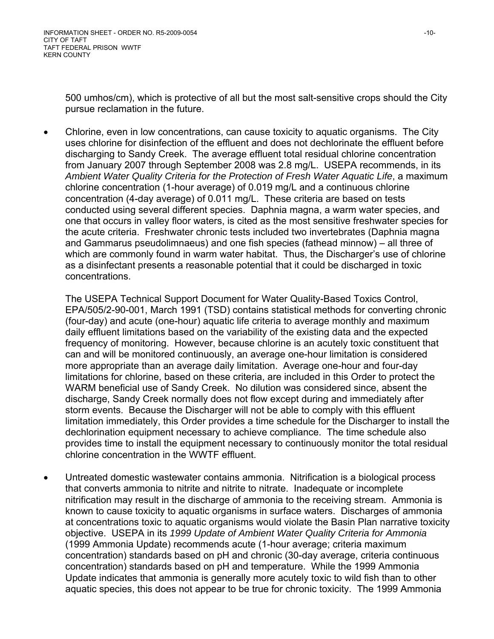500 umhos/cm), which is protective of all but the most salt-sensitive crops should the City pursue reclamation in the future.

• Chlorine, even in low concentrations, can cause toxicity to aquatic organisms. The City uses chlorine for disinfection of the effluent and does not dechlorinate the effluent before discharging to Sandy Creek. The average effluent total residual chlorine concentration from January 2007 through September 2008 was 2.8 mg/L. USEPA recommends, in its *Ambient Water Quality Criteria for the Protection of Fresh Water Aquatic Life*, a maximum chlorine concentration (1-hour average) of 0.019 mg/L and a continuous chlorine concentration (4-day average) of 0.011 mg/L. These criteria are based on tests conducted using several different species. Daphnia magna, a warm water species, and one that occurs in valley floor waters, is cited as the most sensitive freshwater species for the acute criteria. Freshwater chronic tests included two invertebrates (Daphnia magna and Gammarus pseudolimnaeus) and one fish species (fathead minnow) – all three of which are commonly found in warm water habitat. Thus, the Discharger's use of chlorine as a disinfectant presents a reasonable potential that it could be discharged in toxic concentrations.

The USEPA Technical Support Document for Water Quality-Based Toxics Control, EPA/505/2-90-001, March 1991 (TSD) contains statistical methods for converting chronic (four-day) and acute (one-hour) aquatic life criteria to average monthly and maximum daily effluent limitations based on the variability of the existing data and the expected frequency of monitoring. However, because chlorine is an acutely toxic constituent that can and will be monitored continuously, an average one-hour limitation is considered more appropriate than an average daily limitation. Average one-hour and four-day limitations for chlorine, based on these criteria, are included in this Order to protect the WARM beneficial use of Sandy Creek. No dilution was considered since, absent the discharge, Sandy Creek normally does not flow except during and immediately after storm events. Because the Discharger will not be able to comply with this effluent limitation immediately, this Order provides a time schedule for the Discharger to install the dechlorination equipment necessary to achieve compliance. The time schedule also provides time to install the equipment necessary to continuously monitor the total residual chlorine concentration in the WWTF effluent.

• Untreated domestic wastewater contains ammonia. Nitrification is a biological process that converts ammonia to nitrite and nitrite to nitrate. Inadequate or incomplete nitrification may result in the discharge of ammonia to the receiving stream. Ammonia is known to cause toxicity to aquatic organisms in surface waters. Discharges of ammonia at concentrations toxic to aquatic organisms would violate the Basin Plan narrative toxicity objective. USEPA in its *1999 Update of Ambient Water Quality Criteria for Ammonia* (1999 Ammonia Update) recommends acute (1-hour average; criteria maximum concentration) standards based on pH and chronic (30-day average, criteria continuous concentration) standards based on pH and temperature. While the 1999 Ammonia Update indicates that ammonia is generally more acutely toxic to wild fish than to other aquatic species, this does not appear to be true for chronic toxicity. The 1999 Ammonia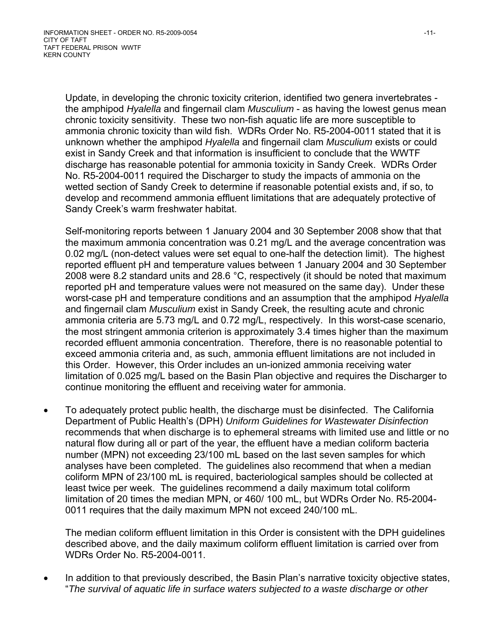Update, in developing the chronic toxicity criterion, identified two genera invertebrates the amphipod *Hyalella* and fingernail clam *Musculium* - as having the lowest genus mean chronic toxicity sensitivity. These two non-fish aquatic life are more susceptible to ammonia chronic toxicity than wild fish. WDRs Order No. R5-2004-0011 stated that it is unknown whether the amphipod *Hyalella* and fingernail clam *Musculium* exists or could exist in Sandy Creek and that information is insufficient to conclude that the WWTF discharge has reasonable potential for ammonia toxicity in Sandy Creek. WDRs Order No. R5-2004-0011 required the Discharger to study the impacts of ammonia on the wetted section of Sandy Creek to determine if reasonable potential exists and, if so, to develop and recommend ammonia effluent limitations that are adequately protective of Sandy Creek's warm freshwater habitat.

Self-monitoring reports between 1 January 2004 and 30 September 2008 show that that the maximum ammonia concentration was 0.21 mg/L and the average concentration was 0.02 mg/L (non-detect values were set equal to one-half the detection limit). The highest reported effluent pH and temperature values between 1 January 2004 and 30 September 2008 were 8.2 standard units and 28.6 °C, respectively (it should be noted that maximum reported pH and temperature values were not measured on the same day). Under these worst-case pH and temperature conditions and an assumption that the amphipod *Hyalella* and fingernail clam *Musculium* exist in Sandy Creek, the resulting acute and chronic ammonia criteria are 5.73 mg/L and 0.72 mg/L, respectively. In this worst-case scenario, the most stringent ammonia criterion is approximately 3.4 times higher than the maximum recorded effluent ammonia concentration. Therefore, there is no reasonable potential to exceed ammonia criteria and, as such, ammonia effluent limitations are not included in this Order. However, this Order includes an un-ionized ammonia receiving water limitation of 0.025 mg/L based on the Basin Plan objective and requires the Discharger to continue monitoring the effluent and receiving water for ammonia.

• To adequately protect public health, the discharge must be disinfected. The California Department of Public Health's (DPH) *Uniform Guidelines for Wastewater Disinfection* recommends that when discharge is to ephemeral streams with limited use and little or no natural flow during all or part of the year, the effluent have a median coliform bacteria number (MPN) not exceeding 23/100 mL based on the last seven samples for which analyses have been completed. The guidelines also recommend that when a median coliform MPN of 23/100 mL is required, bacteriological samples should be collected at least twice per week. The guidelines recommend a daily maximum total coliform limitation of 20 times the median MPN, or 460/ 100 mL, but WDRs Order No. R5-2004- 0011 requires that the daily maximum MPN not exceed 240/100 mL.

The median coliform effluent limitation in this Order is consistent with the DPH guidelines described above, and the daily maximum coliform effluent limitation is carried over from WDRs Order No. R5-2004-0011.

In addition to that previously described, the Basin Plan's narrative toxicity objective states, "*The survival of aquatic life in surface waters subjected to a waste discharge or other*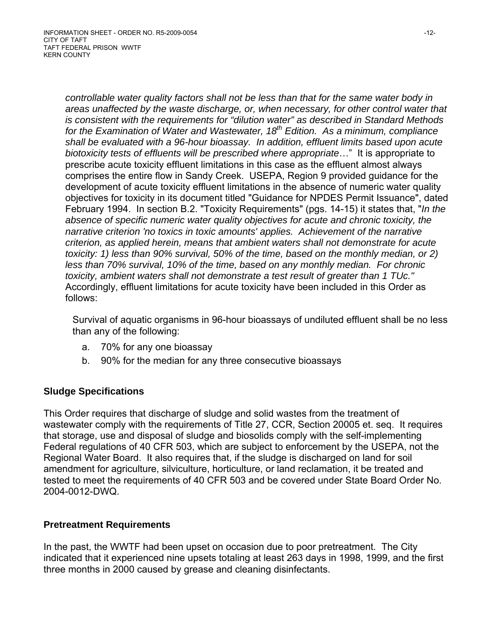*controllable water quality factors shall not be less than that for the same water body in areas unaffected by the waste discharge, or, when necessary, for other control water that is consistent with the requirements for "dilution water" as described in Standard Methods*  for the Examination of Water and Wastewater, 18<sup>th</sup> Edition. As a minimum, compliance *shall be evaluated with a 96-hour bioassay. In addition, effluent limits based upon acute biotoxicity tests of effluents will be prescribed where appropriate*…" It is appropriate to prescribe acute toxicity effluent limitations in this case as the effluent almost always comprises the entire flow in Sandy Creek. USEPA, Region 9 provided guidance for the development of acute toxicity effluent limitations in the absence of numeric water quality objectives for toxicity in its document titled "Guidance for NPDES Permit Issuance", dated February 1994. In section B.2. "Toxicity Requirements" (pgs. 14-15) it states that, "*In the absence of specific numeric water quality objectives for acute and chronic toxicity, the narrative criterion 'no toxics in toxic amounts' applies. Achievement of the narrative criterion, as applied herein, means that ambient waters shall not demonstrate for acute toxicity: 1) less than 90% survival, 50% of the time, based on the monthly median, or 2) less than 70% survival, 10% of the time, based on any monthly median. For chronic toxicity, ambient waters shall not demonstrate a test result of greater than 1 TUc."*  Accordingly, effluent limitations for acute toxicity have been included in this Order as follows:

Survival of aquatic organisms in 96-hour bioassays of undiluted effluent shall be no less than any of the following:

- a. 70% for any one bioassay
- b. 90% for the median for any three consecutive bioassays

### **Sludge Specifications**

This Order requires that discharge of sludge and solid wastes from the treatment of wastewater comply with the requirements of Title 27, CCR, Section 20005 et. seq. It requires that storage, use and disposal of sludge and biosolids comply with the self-implementing Federal regulations of 40 CFR 503, which are subject to enforcement by the USEPA, not the Regional Water Board. It also requires that, if the sludge is discharged on land for soil amendment for agriculture, silviculture, horticulture, or land reclamation, it be treated and tested to meet the requirements of 40 CFR 503 and be covered under State Board Order No. 2004-0012-DWQ.

### **Pretreatment Requirements**

In the past, the WWTF had been upset on occasion due to poor pretreatment. The City indicated that it experienced nine upsets totaling at least 263 days in 1998, 1999, and the first three months in 2000 caused by grease and cleaning disinfectants.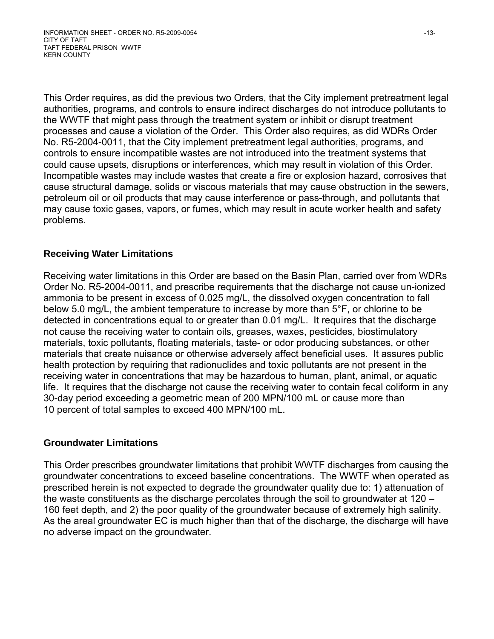This Order requires, as did the previous two Orders, that the City implement pretreatment legal authorities, programs, and controls to ensure indirect discharges do not introduce pollutants to the WWTF that might pass through the treatment system or inhibit or disrupt treatment processes and cause a violation of the Order. This Order also requires, as did WDRs Order No. R5-2004-0011, that the City implement pretreatment legal authorities, programs, and controls to ensure incompatible wastes are not introduced into the treatment systems that could cause upsets, disruptions or interferences, which may result in violation of this Order. Incompatible wastes may include wastes that create a fire or explosion hazard, corrosives that cause structural damage, solids or viscous materials that may cause obstruction in the sewers, petroleum oil or oil products that may cause interference or pass-through, and pollutants that may cause toxic gases, vapors, or fumes, which may result in acute worker health and safety problems.

### **Receiving Water Limitations**

Receiving water limitations in this Order are based on the Basin Plan, carried over from WDRs Order No. R5-2004-0011, and prescribe requirements that the discharge not cause un-ionized ammonia to be present in excess of 0.025 mg/L, the dissolved oxygen concentration to fall below 5.0 mg/L, the ambient temperature to increase by more than 5°F, or chlorine to be detected in concentrations equal to or greater than 0.01 mg/L. It requires that the discharge not cause the receiving water to contain oils, greases, waxes, pesticides, biostimulatory materials, toxic pollutants, floating materials, taste- or odor producing substances, or other materials that create nuisance or otherwise adversely affect beneficial uses. It assures public health protection by requiring that radionuclides and toxic pollutants are not present in the receiving water in concentrations that may be hazardous to human, plant, animal, or aquatic life. It requires that the discharge not cause the receiving water to contain fecal coliform in any 30-day period exceeding a geometric mean of 200 MPN/100 mL or cause more than 10 percent of total samples to exceed 400 MPN/100 mL.

### **Groundwater Limitations**

This Order prescribes groundwater limitations that prohibit WWTF discharges from causing the groundwater concentrations to exceed baseline concentrations. The WWTF when operated as prescribed herein is not expected to degrade the groundwater quality due to: 1) attenuation of the waste constituents as the discharge percolates through the soil to groundwater at 120 – 160 feet depth, and 2) the poor quality of the groundwater because of extremely high salinity. As the areal groundwater EC is much higher than that of the discharge, the discharge will have no adverse impact on the groundwater.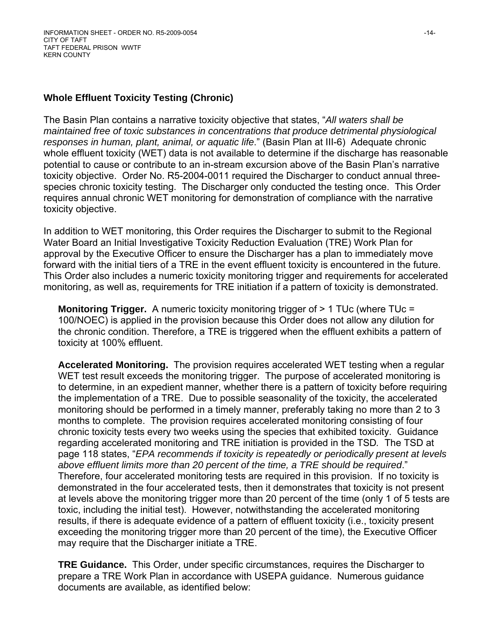### **Whole Effluent Toxicity Testing (Chronic)**

The Basin Plan contains a narrative toxicity objective that states, "*All waters shall be maintained free of toxic substances in concentrations that produce detrimental physiological responses in human, plant, animal, or aquatic life*." (Basin Plan at III-6) Adequate chronic whole effluent toxicity (WET) data is not available to determine if the discharge has reasonable potential to cause or contribute to an in-stream excursion above of the Basin Plan's narrative toxicity objective. Order No. R5-2004-0011 required the Discharger to conduct annual threespecies chronic toxicity testing. The Discharger only conducted the testing once. This Order requires annual chronic WET monitoring for demonstration of compliance with the narrative toxicity objective.

In addition to WET monitoring, this Order requires the Discharger to submit to the Regional Water Board an Initial Investigative Toxicity Reduction Evaluation (TRE) Work Plan for approval by the Executive Officer to ensure the Discharger has a plan to immediately move forward with the initial tiers of a TRE in the event effluent toxicity is encountered in the future. This Order also includes a numeric toxicity monitoring trigger and requirements for accelerated monitoring, as well as, requirements for TRE initiation if a pattern of toxicity is demonstrated.

**Monitoring Trigger.** A numeric toxicity monitoring trigger of > 1 TUc (where TUc = 100/NOEC) is applied in the provision because this Order does not allow any dilution for the chronic condition. Therefore, a TRE is triggered when the effluent exhibits a pattern of toxicity at 100% effluent.

**Accelerated Monitoring.** The provision requires accelerated WET testing when a regular WET test result exceeds the monitoring trigger. The purpose of accelerated monitoring is to determine, in an expedient manner, whether there is a pattern of toxicity before requiring the implementation of a TRE. Due to possible seasonality of the toxicity, the accelerated monitoring should be performed in a timely manner, preferably taking no more than 2 to 3 months to complete. The provision requires accelerated monitoring consisting of four chronic toxicity tests every two weeks using the species that exhibited toxicity. Guidance regarding accelerated monitoring and TRE initiation is provided in the TSD*.* The TSD at page 118 states, "*EPA recommends if toxicity is repeatedly or periodically present at levels above effluent limits more than 20 percent of the time, a TRE should be required*." Therefore, four accelerated monitoring tests are required in this provision. If no toxicity is demonstrated in the four accelerated tests, then it demonstrates that toxicity is not present at levels above the monitoring trigger more than 20 percent of the time (only 1 of 5 tests are toxic, including the initial test). However, notwithstanding the accelerated monitoring results, if there is adequate evidence of a pattern of effluent toxicity (i.e., toxicity present exceeding the monitoring trigger more than 20 percent of the time), the Executive Officer may require that the Discharger initiate a TRE.

**TRE Guidance.** This Order, under specific circumstances, requires the Discharger to prepare a TRE Work Plan in accordance with USEPA guidance. Numerous guidance documents are available, as identified below: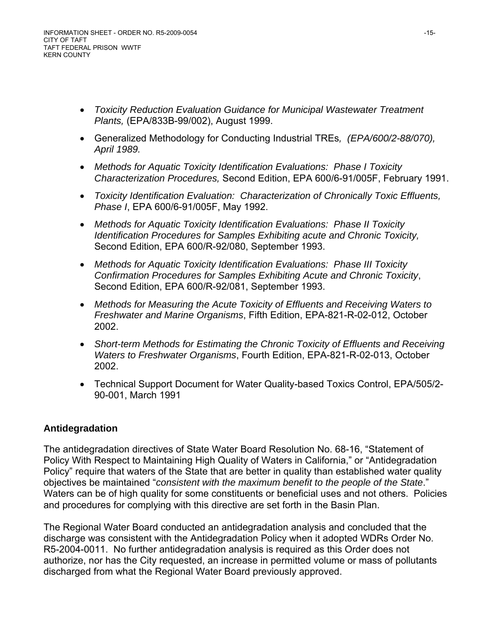- *Toxicity Reduction Evaluation Guidance for Municipal Wastewater Treatment Plants,* (EPA/833B-99/002), August 1999.
- Generalized Methodology for Conducting Industrial TREs*, (EPA/600/2-88/070), April 1989.*
- *Methods for Aquatic Toxicity Identification Evaluations: Phase I Toxicity Characterization Procedures,* Second Edition, EPA 600/6-91/005F, February 1991.
- *Toxicity Identification Evaluation: Characterization of Chronically Toxic Effluents, Phase I*, EPA 600/6-91/005F, May 1992.
- *Methods for Aquatic Toxicity Identification Evaluations: Phase II Toxicity Identification Procedures for Samples Exhibiting acute and Chronic Toxicity,*  Second Edition, EPA 600/R-92/080, September 1993.
- *Methods for Aquatic Toxicity Identification Evaluations: Phase III Toxicity Confirmation Procedures for Samples Exhibiting Acute and Chronic Toxicity*, Second Edition, EPA 600/R-92/081, September 1993.
- *Methods for Measuring the Acute Toxicity of Effluents and Receiving Waters to Freshwater and Marine Organisms*, Fifth Edition, EPA-821-R-02-012, October 2002.
- *Short-term Methods for Estimating the Chronic Toxicity of Effluents and Receiving Waters to Freshwater Organisms*, Fourth Edition, EPA-821-R-02-013, October 2002.
- Technical Support Document for Water Quality-based Toxics Control, EPA/505/2- 90-001, March 1991

## **Antidegradation**

The antidegradation directives of State Water Board Resolution No. 68-16, "Statement of Policy With Respect to Maintaining High Quality of Waters in California," or "Antidegradation Policy" require that waters of the State that are better in quality than established water quality objectives be maintained "*consistent with the maximum benefit to the people of the State*." Waters can be of high quality for some constituents or beneficial uses and not others. Policies and procedures for complying with this directive are set forth in the Basin Plan.

The Regional Water Board conducted an antidegradation analysis and concluded that the discharge was consistent with the Antidegradation Policy when it adopted WDRs Order No. R5-2004-0011. No further antidegradation analysis is required as this Order does not authorize, nor has the City requested, an increase in permitted volume or mass of pollutants discharged from what the Regional Water Board previously approved.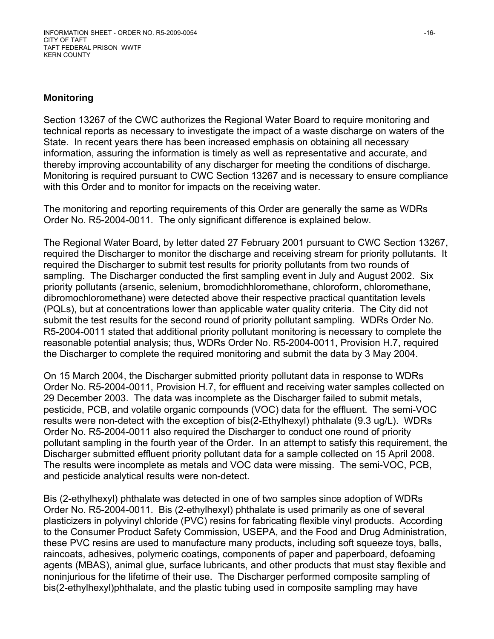#### **Monitoring**

Section 13267 of the CWC authorizes the Regional Water Board to require monitoring and technical reports as necessary to investigate the impact of a waste discharge on waters of the State. In recent years there has been increased emphasis on obtaining all necessary information, assuring the information is timely as well as representative and accurate, and thereby improving accountability of any discharger for meeting the conditions of discharge. Monitoring is required pursuant to CWC Section 13267 and is necessary to ensure compliance with this Order and to monitor for impacts on the receiving water.

The monitoring and reporting requirements of this Order are generally the same as WDRs Order No. R5-2004-0011. The only significant difference is explained below.

The Regional Water Board, by letter dated 27 February 2001 pursuant to CWC Section 13267, required the Discharger to monitor the discharge and receiving stream for priority pollutants. It required the Discharger to submit test results for priority pollutants from two rounds of sampling. The Discharger conducted the first sampling event in July and August 2002. Six priority pollutants (arsenic, selenium, bromodichhloromethane, chloroform, chloromethane, dibromochloromethane) were detected above their respective practical quantitation levels (PQLs), but at concentrations lower than applicable water quality criteria. The City did not submit the test results for the second round of priority pollutant sampling. WDRs Order No. R5-2004-0011 stated that additional priority pollutant monitoring is necessary to complete the reasonable potential analysis; thus, WDRs Order No. R5-2004-0011, Provision H.7, required the Discharger to complete the required monitoring and submit the data by 3 May 2004.

On 15 March 2004, the Discharger submitted priority pollutant data in response to WDRs Order No. R5-2004-0011, Provision H.7, for effluent and receiving water samples collected on 29 December 2003. The data was incomplete as the Discharger failed to submit metals, pesticide, PCB, and volatile organic compounds (VOC) data for the effluent. The semi-VOC results were non-detect with the exception of bis(2-Ethylhexyl) phthalate (9.3 ug/L). WDRs Order No. R5-2004-0011 also required the Discharger to conduct one round of priority pollutant sampling in the fourth year of the Order. In an attempt to satisfy this requirement, the Discharger submitted effluent priority pollutant data for a sample collected on 15 April 2008. The results were incomplete as metals and VOC data were missing. The semi-VOC, PCB, and pesticide analytical results were non-detect.

Bis (2-ethylhexyl) phthalate was detected in one of two samples since adoption of WDRs Order No. R5-2004-0011. Bis (2-ethylhexyl) phthalate is used primarily as one of several plasticizers in polyvinyl chloride (PVC) resins for fabricating flexible vinyl products. According to the Consumer Product Safety Commission, USEPA, and the Food and Drug Administration, these PVC resins are used to manufacture many products, including soft squeeze toys, balls, raincoats, adhesives, polymeric coatings, components of paper and paperboard, defoaming agents (MBAS), animal glue, surface lubricants, and other products that must stay flexible and noninjurious for the lifetime of their use. The Discharger performed composite sampling of bis(2-ethylhexyl)phthalate, and the plastic tubing used in composite sampling may have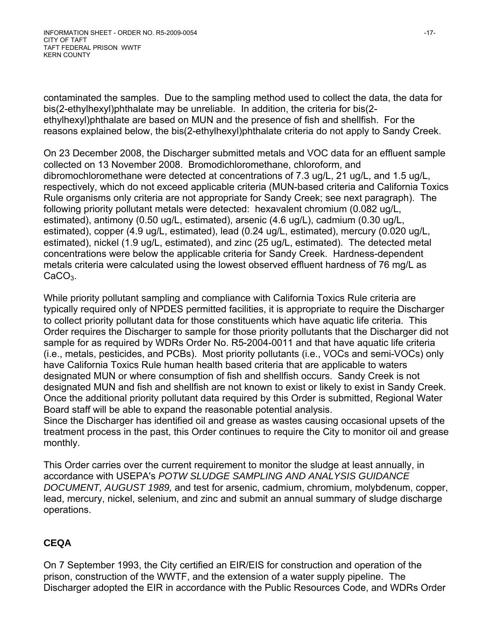contaminated the samples. Due to the sampling method used to collect the data, the data for bis(2-ethylhexyl)phthalate may be unreliable. In addition, the criteria for bis(2 ethylhexyl)phthalate are based on MUN and the presence of fish and shellfish. For the reasons explained below, the bis(2-ethylhexyl)phthalate criteria do not apply to Sandy Creek.

On 23 December 2008, the Discharger submitted metals and VOC data for an effluent sample collected on 13 November 2008. Bromodichloromethane, chloroform, and dibromochloromethane were detected at concentrations of 7.3 ug/L, 21 ug/L, and 1.5 ug/L, respectively, which do not exceed applicable criteria (MUN-based criteria and California Toxics Rule organisms only criteria are not appropriate for Sandy Creek; see next paragraph). The following priority pollutant metals were detected: hexavalent chromium (0.082 ug/L, estimated), antimony (0.50 ug/L, estimated), arsenic (4.6 ug/L), cadmium (0.30 ug/L, estimated), copper (4.9 ug/L, estimated), lead (0.24 ug/L, estimated), mercury (0.020 ug/L, estimated), nickel (1.9 ug/L, estimated), and zinc (25 ug/L, estimated). The detected metal concentrations were below the applicable criteria for Sandy Creek. Hardness-dependent metals criteria were calculated using the lowest observed effluent hardness of 76 mg/L as CaCO<sub>3</sub>.

While priority pollutant sampling and compliance with California Toxics Rule criteria are typically required only of NPDES permitted facilities, it is appropriate to require the Discharger to collect priority pollutant data for those constituents which have aquatic life criteria. This Order requires the Discharger to sample for those priority pollutants that the Discharger did not sample for as required by WDRs Order No. R5-2004-0011 and that have aquatic life criteria (i.e., metals, pesticides, and PCBs). Most priority pollutants (i.e., VOCs and semi-VOCs) only have California Toxics Rule human health based criteria that are applicable to waters designated MUN or where consumption of fish and shellfish occurs. Sandy Creek is not designated MUN and fish and shellfish are not known to exist or likely to exist in Sandy Creek. Once the additional priority pollutant data required by this Order is submitted, Regional Water Board staff will be able to expand the reasonable potential analysis.

Since the Discharger has identified oil and grease as wastes causing occasional upsets of the treatment process in the past, this Order continues to require the City to monitor oil and grease monthly.

This Order carries over the current requirement to monitor the sludge at least annually, in accordance with USEPA's *POTW SLUDGE SAMPLING AND ANALYSIS GUIDANCE DOCUMENT, AUGUST 1989,* and test for arsenic, cadmium, chromium, molybdenum, copper, lead, mercury, nickel, selenium, and zinc and submit an annual summary of sludge discharge operations.

# **CEQA**

On 7 September 1993, the City certified an EIR/EIS for construction and operation of the prison, construction of the WWTF, and the extension of a water supply pipeline. The Discharger adopted the EIR in accordance with the Public Resources Code, and WDRs Order